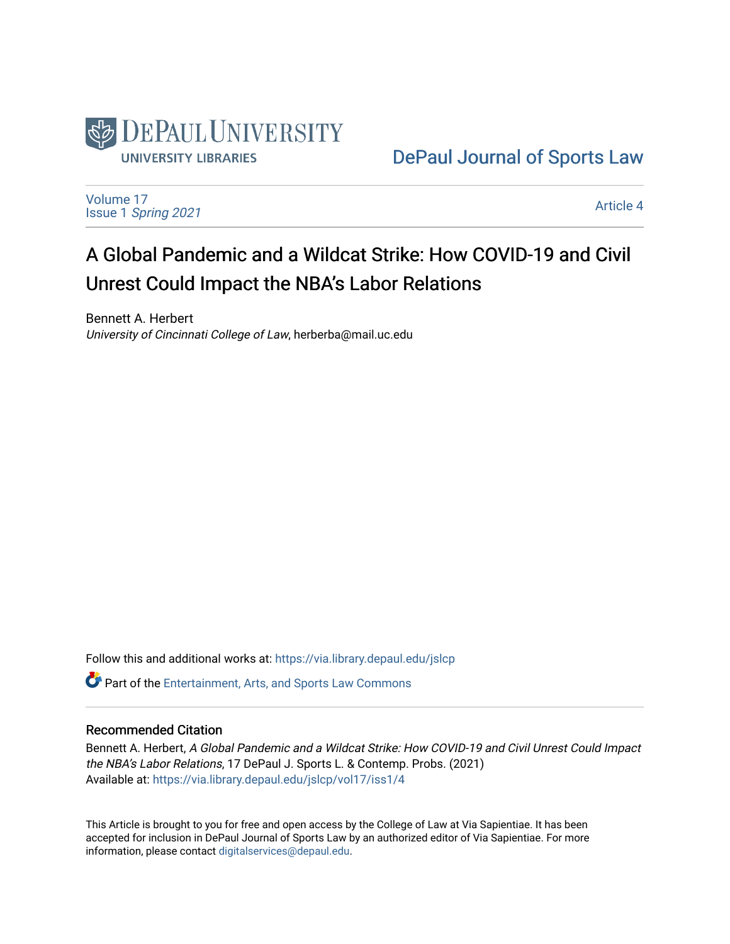

[DePaul Journal of Sports Law](https://via.library.depaul.edu/jslcp) 

[Volume 17](https://via.library.depaul.edu/jslcp/vol17) Issue 1 [Spring 2021](https://via.library.depaul.edu/jslcp/vol17/iss1) 

[Article 4](https://via.library.depaul.edu/jslcp/vol17/iss1/4) 

# A Global Pandemic and a Wildcat Strike: How COVID-19 and Civil Unrest Could Impact the NBA's Labor Relations

Bennett A. Herbert University of Cincinnati College of Law, herberba@mail.uc.edu

Follow this and additional works at: [https://via.library.depaul.edu/jslcp](https://via.library.depaul.edu/jslcp?utm_source=via.library.depaul.edu%2Fjslcp%2Fvol17%2Fiss1%2F4&utm_medium=PDF&utm_campaign=PDFCoverPages) 

Part of the [Entertainment, Arts, and Sports Law Commons](http://network.bepress.com/hgg/discipline/893?utm_source=via.library.depaul.edu%2Fjslcp%2Fvol17%2Fiss1%2F4&utm_medium=PDF&utm_campaign=PDFCoverPages)

# Recommended Citation

Bennett A. Herbert, A Global Pandemic and a Wildcat Strike: How COVID-19 and Civil Unrest Could Impact the NBA's Labor Relations, 17 DePaul J. Sports L. & Contemp. Probs. (2021) Available at: [https://via.library.depaul.edu/jslcp/vol17/iss1/4](https://via.library.depaul.edu/jslcp/vol17/iss1/4?utm_source=via.library.depaul.edu%2Fjslcp%2Fvol17%2Fiss1%2F4&utm_medium=PDF&utm_campaign=PDFCoverPages) 

This Article is brought to you for free and open access by the College of Law at Via Sapientiae. It has been accepted for inclusion in DePaul Journal of Sports Law by an authorized editor of Via Sapientiae. For more information, please contact [digitalservices@depaul.edu](mailto:digitalservices@depaul.edu).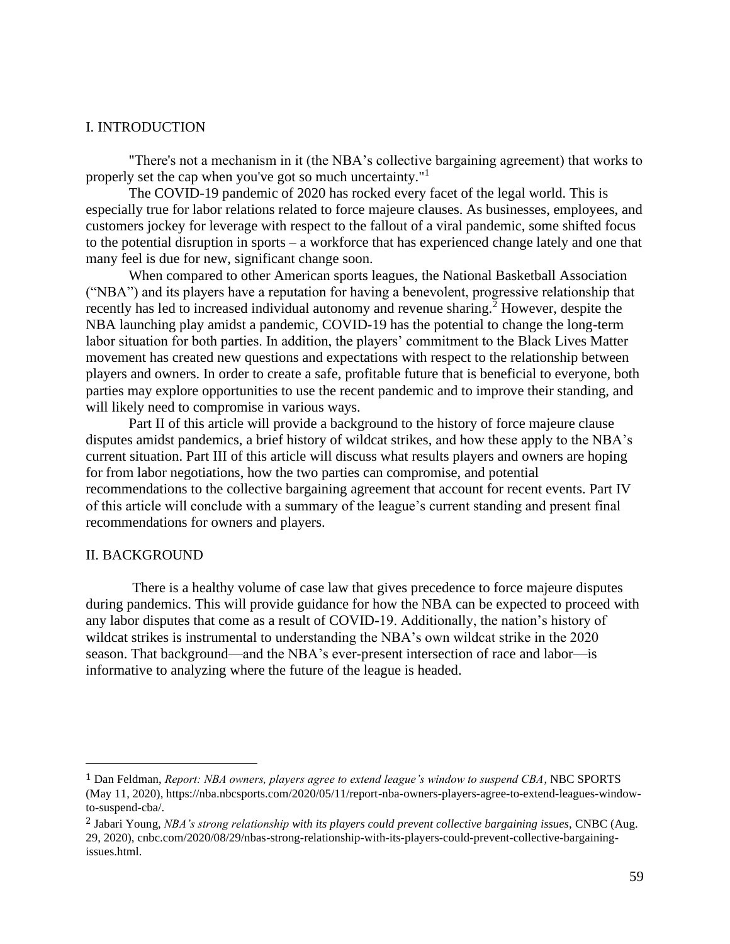### I. INTRODUCTION

"There's not a mechanism in it (the NBA's collective bargaining agreement) that works to properly set the cap when you've got so much uncertainty."<sup>1</sup>

The COVID-19 pandemic of 2020 has rocked every facet of the legal world. This is especially true for labor relations related to force majeure clauses. As businesses, employees, and customers jockey for leverage with respect to the fallout of a viral pandemic, some shifted focus to the potential disruption in sports – a workforce that has experienced change lately and one that many feel is due for new, significant change soon.

When compared to other American sports leagues, the National Basketball Association ("NBA") and its players have a reputation for having a benevolent, progressive relationship that recently has led to increased individual autonomy and revenue sharing.<sup>2</sup> However, despite the NBA launching play amidst a pandemic, COVID-19 has the potential to change the long-term labor situation for both parties. In addition, the players' commitment to the Black Lives Matter movement has created new questions and expectations with respect to the relationship between players and owners. In order to create a safe, profitable future that is beneficial to everyone, both parties may explore opportunities to use the recent pandemic and to improve their standing, and will likely need to compromise in various ways.

Part II of this article will provide a background to the history of force majeure clause disputes amidst pandemics, a brief history of wildcat strikes, and how these apply to the NBA's current situation. Part III of this article will discuss what results players and owners are hoping for from labor negotiations, how the two parties can compromise, and potential recommendations to the collective bargaining agreement that account for recent events. Part IV of this article will conclude with a summary of the league's current standing and present final recommendations for owners and players.

#### II. BACKGROUND

There is a healthy volume of case law that gives precedence to force majeure disputes during pandemics. This will provide guidance for how the NBA can be expected to proceed with any labor disputes that come as a result of COVID-19. Additionally, the nation's history of wildcat strikes is instrumental to understanding the NBA's own wildcat strike in the 2020 season. That background—and the NBA's ever-present intersection of race and labor—is informative to analyzing where the future of the league is headed.

<sup>1</sup> Dan Feldman, *Report: NBA owners, players agree to extend league's window to suspend CBA*, NBC SPORTS (May 11, 2020), https://nba.nbcsports.com/2020/05/11/report-nba-owners-players-agree-to-extend-leagues-windowto-suspend-cba/.

<sup>2</sup> Jabari Young, *NBA's strong relationship with its players could prevent collective bargaining issues,* CNBC (Aug. 29, 2020), cnbc.com/2020/08/29/nbas-strong-relationship-with-its-players-could-prevent-collective-bargainingissues.html.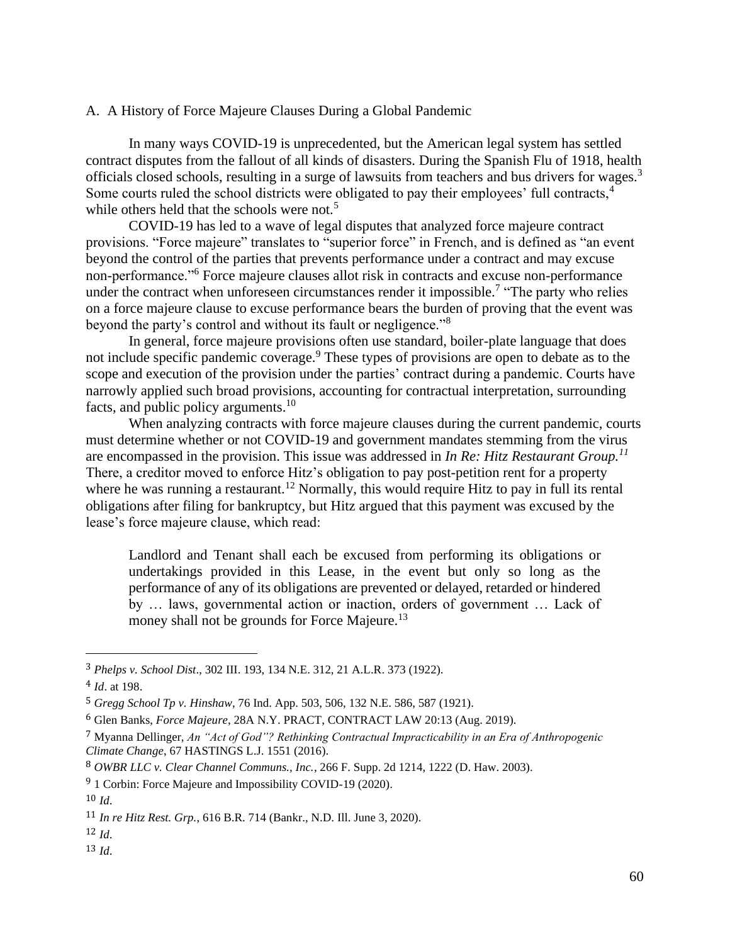# A. A History of Force Majeure Clauses During a Global Pandemic

In many ways COVID-19 is unprecedented, but the American legal system has settled contract disputes from the fallout of all kinds of disasters. During the Spanish Flu of 1918, health officials closed schools, resulting in a surge of lawsuits from teachers and bus drivers for wages.<sup>3</sup> Some courts ruled the school districts were obligated to pay their employees' full contracts,<sup>4</sup> while others held that the schools were not.<sup>5</sup>

COVID-19 has led to a wave of legal disputes that analyzed force majeure contract provisions. "Force majeure" translates to "superior force" in French, and is defined as "an event beyond the control of the parties that prevents performance under a contract and may excuse non-performance."<sup>6</sup> Force majeure clauses allot risk in contracts and excuse non-performance under the contract when unforeseen circumstances render it impossible.<sup>7</sup> "The party who relies on a force majeure clause to excuse performance bears the burden of proving that the event was beyond the party's control and without its fault or negligence."<sup>8</sup>

In general, force majeure provisions often use standard, boiler-plate language that does not include specific pandemic coverage.<sup>9</sup> These types of provisions are open to debate as to the scope and execution of the provision under the parties' contract during a pandemic. Courts have narrowly applied such broad provisions, accounting for contractual interpretation, surrounding facts, and public policy arguments.<sup>10</sup>

When analyzing contracts with force majeure clauses during the current pandemic, courts must determine whether or not COVID-19 and government mandates stemming from the virus are encompassed in the provision. This issue was addressed in *In Re: Hitz Restaurant Group.<sup>11</sup>* There, a creditor moved to enforce Hitz's obligation to pay post-petition rent for a property where he was running a restaurant.<sup>12</sup> Normally, this would require Hitz to pay in full its rental obligations after filing for bankruptcy, but Hitz argued that this payment was excused by the lease's force majeure clause, which read:

Landlord and Tenant shall each be excused from performing its obligations or undertakings provided in this Lease, in the event but only so long as the performance of any of its obligations are prevented or delayed, retarded or hindered by … laws, governmental action or inaction, orders of government … Lack of money shall not be grounds for Force Majeure.<sup>13</sup>

<sup>3</sup> *Phelps v. School Dist*., 302 III. 193, 134 N.E. 312, 21 A.L.R. 373 (1922).

<sup>4</sup> *Id*. at 198.

<sup>5</sup> *Gregg School Tp v. Hinshaw*, 76 Ind. App. 503, 506, 132 N.E. 586, 587 (1921).

<sup>6</sup> Glen Banks, *Force Majeure*, 28A N.Y. PRACT, CONTRACT LAW 20:13 (Aug. 2019).

<sup>7</sup> Myanna Dellinger, *An "Act of God"? Rethinking Contractual Impracticability in an Era of Anthropogenic Climate Change*, 67 HASTINGS L.J. 1551 (2016).

<sup>8</sup> *OWBR LLC v. Clear Channel Communs., Inc.*, 266 F. Supp. 2d 1214, 1222 (D. Haw. 2003).

<sup>&</sup>lt;sup>9</sup> 1 Corbin: Force Majeure and Impossibility COVID-19 (2020).

 $10 \, \text{Id}$ 

<sup>11</sup> *In re Hitz Rest. Grp.*, 616 B.R. 714 (Bankr., N.D. Ill. June 3, 2020).

<sup>12</sup> *Id*.

<sup>13</sup> *Id*.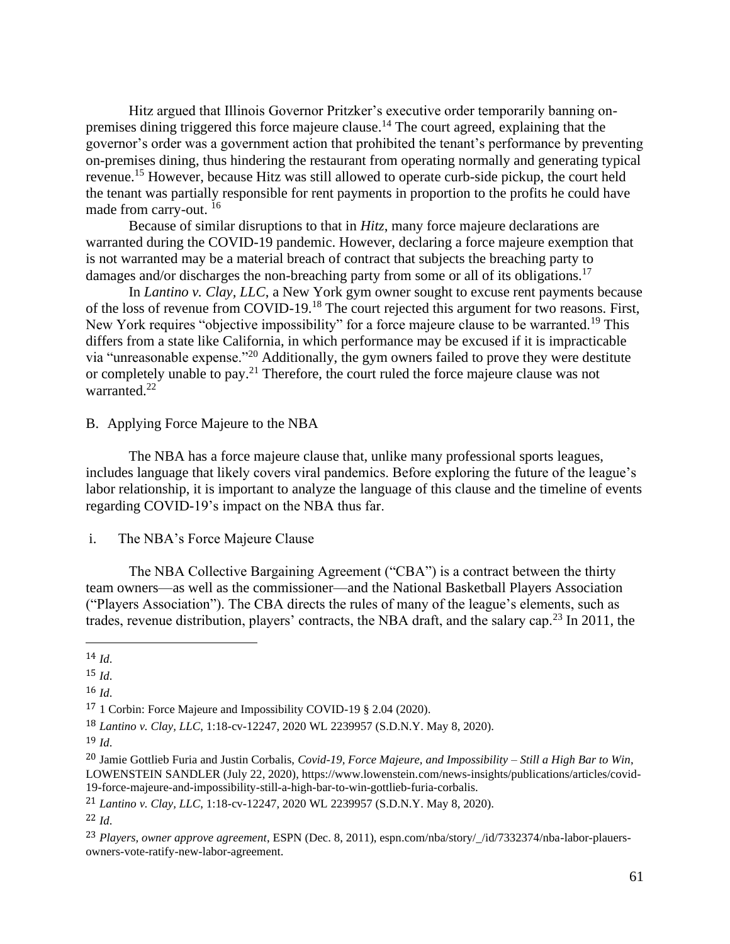Hitz argued that Illinois Governor Pritzker's executive order temporarily banning onpremises dining triggered this force majeure clause.<sup>14</sup> The court agreed, explaining that the governor's order was a government action that prohibited the tenant's performance by preventing on-premises dining, thus hindering the restaurant from operating normally and generating typical revenue.<sup>15</sup> However, because Hitz was still allowed to operate curb-side pickup, the court held the tenant was partially responsible for rent payments in proportion to the profits he could have made from carry-out. <sup>16</sup>

Because of similar disruptions to that in *Hitz*, many force majeure declarations are warranted during the COVID-19 pandemic. However, declaring a force majeure exemption that is not warranted may be a material breach of contract that subjects the breaching party to damages and/or discharges the non-breaching party from some or all of its obligations.<sup>17</sup>

In *Lantino v. Clay, LLC*, a New York gym owner sought to excuse rent payments because of the loss of revenue from COVID-19.<sup>18</sup> The court rejected this argument for two reasons. First, New York requires "objective impossibility" for a force majeure clause to be warranted.<sup>19</sup> This differs from a state like California, in which performance may be excused if it is impracticable via "unreasonable expense."<sup>20</sup> Additionally, the gym owners failed to prove they were destitute or completely unable to pay.<sup>21</sup> Therefore, the court ruled the force majeure clause was not warranted.<sup>22</sup>

B. Applying Force Majeure to the NBA

The NBA has a force majeure clause that, unlike many professional sports leagues, includes language that likely covers viral pandemics. Before exploring the future of the league's labor relationship, it is important to analyze the language of this clause and the timeline of events regarding COVID-19's impact on the NBA thus far.

i. The NBA's Force Majeure Clause

The NBA Collective Bargaining Agreement ("CBA") is a contract between the thirty team owners—as well as the commissioner—and the National Basketball Players Association ("Players Association"). The CBA directs the rules of many of the league's elements, such as trades, revenue distribution, players' contracts, the NBA draft, and the salary cap.<sup>23</sup> In 2011, the

16 *Id*.

<sup>14</sup> *Id*.

<sup>15</sup> *Id*.

<sup>17</sup> 1 Corbin: Force Majeure and Impossibility COVID-19 § 2.04 (2020).

<sup>18</sup> *Lantino v. Clay, LLC*, 1:18-cv-12247, 2020 WL 2239957 (S.D.N.Y. May 8, 2020).

<sup>19</sup> *Id*.

<sup>20</sup> Jamie Gottlieb Furia and Justin Corbalis, *Covid-19, Force Majeure, and Impossibility – Still a High Bar to Win*, LOWENSTEIN SANDLER (July 22, 2020), https://www.lowenstein.com/news-insights/publications/articles/covid-19-force-majeure-and-impossibility-still-a-high-bar-to-win-gottlieb-furia-corbalis.

<sup>21</sup> *Lantino v. Clay, LLC*, 1:18-cv-12247, 2020 WL 2239957 (S.D.N.Y. May 8, 2020).

<sup>23</sup> *Players, owner approve agreement*, ESPN (Dec. 8, 2011), espn.com/nba/story/\_/id/7332374/nba-labor-plauersowners-vote-ratify-new-labor-agreement.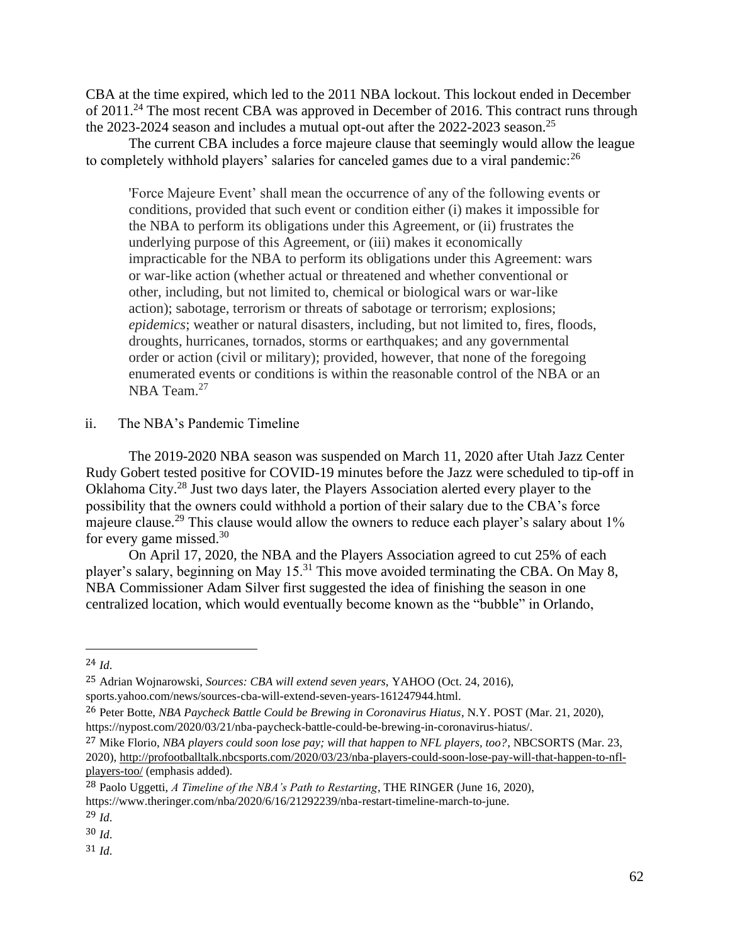CBA at the time expired, which led to the 2011 NBA lockout. This lockout ended in December of 2011.<sup>24</sup> The most recent CBA was approved in December of 2016. This contract runs through the 2023-2024 season and includes a mutual opt-out after the 2022-2023 season.<sup>25</sup>

The current CBA includes a force majeure clause that seemingly would allow the league to completely withhold players' salaries for canceled games due to a viral pandemic:<sup>26</sup>

'Force Majeure Event' shall mean the occurrence of any of the following events or conditions, provided that such event or condition either (i) makes it impossible for the NBA to perform its obligations under this Agreement, or (ii) frustrates the underlying purpose of this Agreement, or (iii) makes it economically impracticable for the NBA to perform its obligations under this Agreement: wars or war-like action (whether actual or threatened and whether conventional or other, including, but not limited to, chemical or biological wars or war-like action); sabotage, terrorism or threats of sabotage or terrorism; explosions; *epidemics*; weather or natural disasters, including, but not limited to, fires, floods, droughts, hurricanes, tornados, storms or earthquakes; and any governmental order or action (civil or military); provided, however, that none of the foregoing enumerated events or conditions is within the reasonable control of the NBA or an NBA Team.<sup>27</sup>

# ii. The NBA's Pandemic Timeline

The 2019-2020 NBA season was suspended on March 11, 2020 after Utah Jazz Center Rudy Gobert tested positive for COVID-19 minutes before the Jazz were scheduled to tip-off in Oklahoma City.<sup>28</sup> Just two days later, the Players Association alerted every player to the possibility that the owners could withhold a portion of their salary due to the CBA's force majeure clause.<sup>29</sup> This clause would allow the owners to reduce each player's salary about 1% for every game missed. $30$ 

On April 17, 2020, the NBA and the Players Association agreed to cut 25% of each player's salary, beginning on May 15.<sup>31</sup> This move avoided terminating the CBA. On May 8, NBA Commissioner Adam Silver first suggested the idea of finishing the season in one centralized location, which would eventually become known as the "bubble" in Orlando,

30 *Id*.

<sup>24</sup> *Id*.

<sup>25</sup> Adrian Wojnarowski, *Sources: CBA will extend seven years,* YAHOO (Oct. 24, 2016), sports.yahoo.com/news/sources-cba-will-extend-seven-years-161247944.html.

<sup>26</sup> Peter Botte, *NBA Paycheck Battle Could be Brewing in Coronavirus Hiatus*, N.Y. POST (Mar. 21, 2020), https://nypost.com/2020/03/21/nba-paycheck-battle-could-be-brewing-in-coronavirus-hiatus/.

<sup>27</sup> Mike Florio, *NBA players could soon lose pay; will that happen to NFL players, too?*, NBCSORTS (Mar. 23, 2020), [http://profootballtalk.nbcsports.com/2020/03/23/nba-players-could-soon-lose-pay-will-that-happen-to-nfl](http://profootballtalk.nbcsports.com/2020/03/23/nba-players-could-soon-lose-pay-will-that-happen-to-nfl-players-too/)[players-too/](http://profootballtalk.nbcsports.com/2020/03/23/nba-players-could-soon-lose-pay-will-that-happen-to-nfl-players-too/) (emphasis added).

<sup>28</sup> Paolo Uggetti, *A Timeline of the NBA's Path to Restarting*, THE RINGER (June 16, 2020), https://www.theringer.com/nba/2020/6/16/21292239/nba-restart-timeline-march-to-june.

<sup>29</sup> *Id*.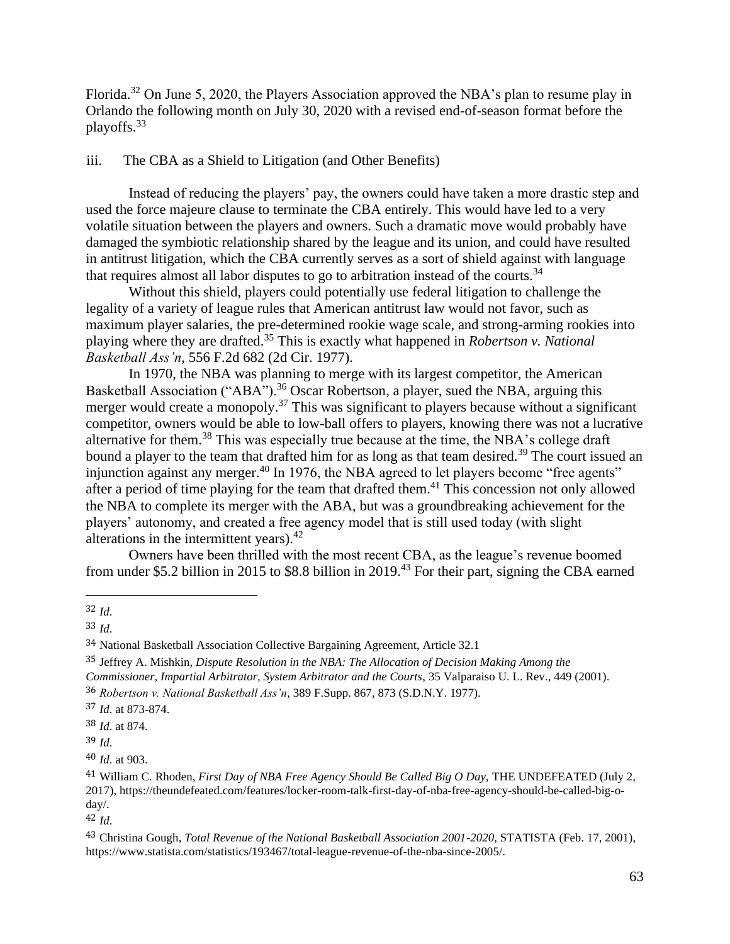Florida.<sup>32</sup> On June 5, 2020, the Players Association approved the NBA's plan to resume play in Orlando the following month on July 30, 2020 with a revised end-of-season format before the playoffs.<sup>33</sup>

# iii. The CBA as a Shield to Litigation (and Other Benefits)

Instead of reducing the players' pay, the owners could have taken a more drastic step and used the force majeure clause to terminate the CBA entirely. This would have led to a very volatile situation between the players and owners. Such a dramatic move would probably have damaged the symbiotic relationship shared by the league and its union, and could have resulted in antitrust litigation, which the CBA currently serves as a sort of shield against with language that requires almost all labor disputes to go to arbitration instead of the courts.<sup>34</sup>

Without this shield, players could potentially use federal litigation to challenge the legality of a variety of league rules that American antitrust law would not favor, such as maximum player salaries, the pre-determined rookie wage scale, and strong-arming rookies into playing where they are drafted.<sup>35</sup> This is exactly what happened in *Robertson v. National Basketball Ass'n*, 556 F.2d 682 (2d Cir. 1977).

In 1970, the NBA was planning to merge with its largest competitor, the American Basketball Association ("ABA").<sup>36</sup> Oscar Robertson, a player, sued the NBA, arguing this merger would create a monopoly.<sup>37</sup> This was significant to players because without a significant competitor, owners would be able to low-ball offers to players, knowing there was not a lucrative alternative for them.<sup>38</sup> This was especially true because at the time, the NBA's college draft bound a player to the team that drafted him for as long as that team desired.<sup>39</sup> The court issued an injunction against any merger.<sup>40</sup> In 1976, the NBA agreed to let players become "free agents" after a period of time playing for the team that drafted them.<sup>41</sup> This concession not only allowed the NBA to complete its merger with the ABA, but was a groundbreaking achievement for the players' autonomy, and created a free agency model that is still used today (with slight alterations in the intermittent years). $42$ 

Owners have been thrilled with the most recent CBA, as the league's revenue boomed from under \$5.2 billion in 2015 to \$8.8 billion in 2019.<sup>43</sup> For their part, signing the CBA earned

35 Jeffrey A. Mishkin, *Dispute Resolution in the NBA: The Allocation of Decision Making Among the Commissioner, Impartial Arbitrator, System Arbitrator and the Courts*, 35 Valparaiso U. L. Rev., 449 (2001). 36 *Robertson v. National Basketball Ass'n*, 389 F.Supp. 867, 873 (S.D.N.Y. 1977).

<sup>32</sup> *Id*.

<sup>33</sup> *Id*.

<sup>34</sup> National Basketball Association Collective Bargaining Agreement, Article 32.1

<sup>37</sup> *Id*. at 873-874.

<sup>38</sup> *Id*. at 874.

<sup>39</sup> *Id*.

<sup>40</sup> *Id*. at 903.

<sup>&</sup>lt;sup>41</sup> William C. Rhoden, *First Day of NBA Free Agency Should Be Called Big O Day*, THE UNDEFEATED (July 2, 2017), https://theundefeated.com/features/locker-room-talk-first-day-of-nba-free-agency-should-be-called-big-oday/.

<sup>42</sup> *Id*.

<sup>43</sup> Christina Gough, *Total Revenue of the National Basketball Association 2001-2020*, STATISTA (Feb. 17, 2001), https://www.statista.com/statistics/193467/total-league-revenue-of-the-nba-since-2005/.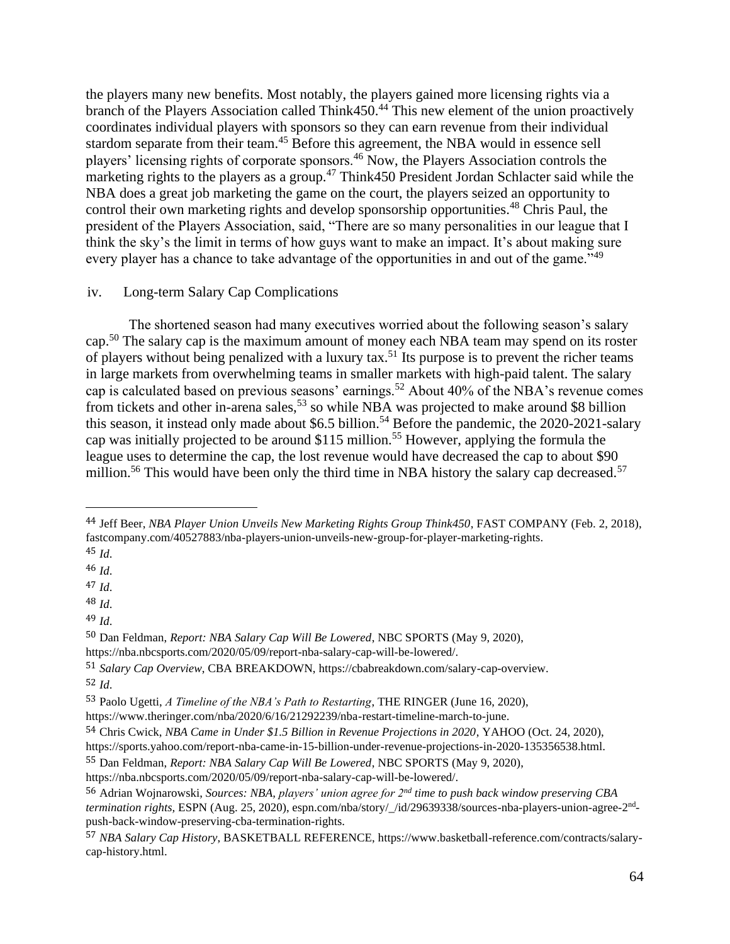the players many new benefits. Most notably, the players gained more licensing rights via a branch of the Players Association called Think450.<sup>44</sup> This new element of the union proactively coordinates individual players with sponsors so they can earn revenue from their individual stardom separate from their team.<sup>45</sup> Before this agreement, the NBA would in essence sell players' licensing rights of corporate sponsors.<sup>46</sup> Now, the Players Association controls the marketing rights to the players as a group.<sup>47</sup> Think450 President Jordan Schlacter said while the NBA does a great job marketing the game on the court, the players seized an opportunity to control their own marketing rights and develop sponsorship opportunities.<sup>48</sup> Chris Paul, the president of the Players Association, said, "There are so many personalities in our league that I think the sky's the limit in terms of how guys want to make an impact. It's about making sure every player has a chance to take advantage of the opportunities in and out of the game."<sup>49</sup>

## iv. Long-term Salary Cap Complications

The shortened season had many executives worried about the following season's salary cap.<sup>50</sup> The salary cap is the maximum amount of money each NBA team may spend on its roster of players without being penalized with a luxury tax.<sup>51</sup> Its purpose is to prevent the richer teams in large markets from overwhelming teams in smaller markets with high-paid talent. The salary cap is calculated based on previous seasons' earnings.<sup>52</sup> About 40% of the NBA's revenue comes from tickets and other in-arena sales,<sup>53</sup> so while NBA was projected to make around \$8 billion this season, it instead only made about \$6.5 billion.<sup>54</sup> Before the pandemic, the  $2020$ - $2021$ -salary cap was initially projected to be around \$115 million.<sup>55</sup> However, applying the formula the league uses to determine the cap, the lost revenue would have decreased the cap to about \$90 million.<sup>56</sup> This would have been only the third time in NBA history the salary cap decreased.<sup>57</sup>

<sup>44</sup> Jeff Beer, *NBA Player Union Unveils New Marketing Rights Group Think450*, FAST COMPANY (Feb. 2, 2018), fastcompany.com/40527883/nba-players-union-unveils-new-group-for-player-marketing-rights. 45 *Id*.

<sup>46</sup> *Id*.

<sup>47</sup> *Id*.

<sup>48</sup> *Id*.

<sup>49</sup> *Id*.

<sup>50</sup> Dan Feldman, *Report: NBA Salary Cap Will Be Lowered*, NBC SPORTS (May 9, 2020),

https://nba.nbcsports.com/2020/05/09/report-nba-salary-cap-will-be-lowered/.

<sup>51</sup> *Salary Cap Overview*, CBA BREAKDOWN, https://cbabreakdown.com/salary-cap-overview. 52 *Id*.

<sup>53</sup> Paolo Ugetti, *A Timeline of the NBA's Path to Restarting*, THE RINGER (June 16, 2020),

https://www.theringer.com/nba/2020/6/16/21292239/nba-restart-timeline-march-to-june.

<sup>54</sup> Chris Cwick, *NBA Came in Under \$1.5 Billion in Revenue Projections in 2020*, YAHOO (Oct. 24, 2020),

https://sports.yahoo.com/report-nba-came-in-15-billion-under-revenue-projections-in-2020-135356538.html.

<sup>55</sup> Dan Feldman, *Report: NBA Salary Cap Will Be Lowered*, NBC SPORTS (May 9, 2020),

https://nba.nbcsports.com/2020/05/09/report-nba-salary-cap-will-be-lowered/.

<sup>56</sup> Adrian Wojnarowski, *Sources: NBA, players' union agree for 2nd time to push back window preserving CBA termination rights,* ESPN (Aug. 25, 2020), espn.com/nba/story/\_/id/29639338/sources-nba-players-union-agree-2<sup>nd</sup>push-back-window-preserving-cba-termination-rights.

<sup>57</sup> *NBA Salary Cap History*, BASKETBALL REFERENCE, https://www.basketball-reference.com/contracts/salarycap-history.html.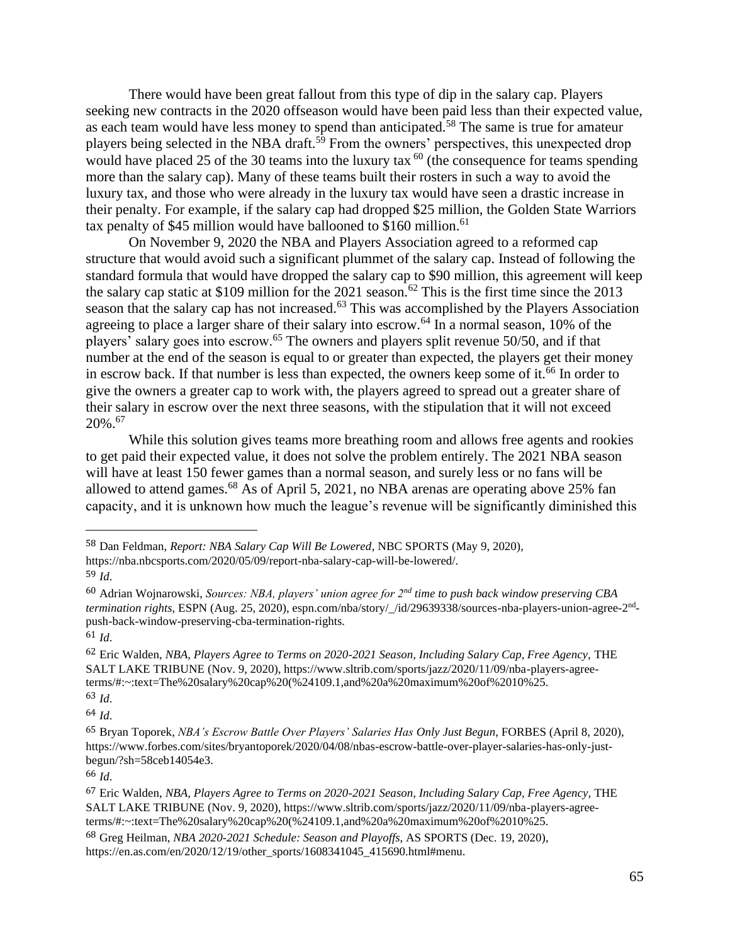There would have been great fallout from this type of dip in the salary cap. Players seeking new contracts in the 2020 offseason would have been paid less than their expected value, as each team would have less money to spend than anticipated.<sup>58</sup> The same is true for amateur players being selected in the NBA draft.<sup>59</sup> From the owners' perspectives, this unexpected drop would have placed 25 of the 30 teams into the luxury tax  $^{60}$  (the consequence for teams spending more than the salary cap). Many of these teams built their rosters in such a way to avoid the luxury tax, and those who were already in the luxury tax would have seen a drastic increase in their penalty. For example, if the salary cap had dropped \$25 million, the Golden State Warriors tax penalty of \$45 million would have ballooned to \$160 million.<sup>61</sup>

On November 9, 2020 the NBA and Players Association agreed to a reformed cap structure that would avoid such a significant plummet of the salary cap. Instead of following the standard formula that would have dropped the salary cap to \$90 million, this agreement will keep the salary cap static at \$109 million for the 2021 season.<sup>62</sup> This is the first time since the 2013 season that the salary cap has not increased.<sup>63</sup> This was accomplished by the Players Association agreeing to place a larger share of their salary into escrow.<sup>64</sup> In a normal season, 10% of the players' salary goes into escrow.<sup>65</sup> The owners and players split revenue 50/50, and if that number at the end of the season is equal to or greater than expected, the players get their money in escrow back. If that number is less than expected, the owners keep some of it.<sup>66</sup> In order to give the owners a greater cap to work with, the players agreed to spread out a greater share of their salary in escrow over the next three seasons, with the stipulation that it will not exceed 20%.<sup>67</sup>

While this solution gives teams more breathing room and allows free agents and rookies to get paid their expected value, it does not solve the problem entirely. The 2021 NBA season will have at least 150 fewer games than a normal season, and surely less or no fans will be allowed to attend games.<sup>68</sup> As of April 5, 2021, no NBA arenas are operating above 25% fan capacity, and it is unknown how much the league's revenue will be significantly diminished this

61 *Id*.

64 *Id*.

<sup>58</sup> Dan Feldman, *Report: NBA Salary Cap Will Be Lowered*, NBC SPORTS (May 9, 2020),

https://nba.nbcsports.com/2020/05/09/report-nba-salary-cap-will-be-lowered/.

<sup>59</sup> *Id*.

<sup>60</sup> Adrian Wojnarowski, *Sources: NBA, players' union agree for 2nd time to push back window preserving CBA*  termination rights, ESPN (Aug. 25, 2020), espn.com/nba/story/\_/id/29639338/sources-nba-players-union-agree-2<sup>nd</sup>push-back-window-preserving-cba-termination-rights.

<sup>62</sup> Eric Walden, *NBA, Players Agree to Terms on 2020-2021 Season, Including Salary Cap, Free Agency,* THE SALT LAKE TRIBUNE (Nov. 9, 2020), https://www.sltrib.com/sports/jazz/2020/11/09/nba-players-agreeterms/#:~:text=The%20salary%20cap%20(%24109.1,and%20a%20maximum%20of%2010%25. 63 *Id*.

<sup>65</sup> Bryan Toporek, *NBA's Escrow Battle Over Players' Salaries Has Only Just Begun*, FORBES (April 8, 2020), https://www.forbes.com/sites/bryantoporek/2020/04/08/nbas-escrow-battle-over-player-salaries-has-only-justbegun/?sh=58ceb14054e3.

<sup>67</sup> Eric Walden, *NBA, Players Agree to Terms on 2020-2021 Season, Including Salary Cap, Free Agency,* THE SALT LAKE TRIBUNE (Nov. 9, 2020), https://www.sltrib.com/sports/jazz/2020/11/09/nba-players-agreeterms/#:~:text=The%20salary%20cap%20(%24109.1,and%20a%20maximum%20of%2010%25.

<sup>68</sup> Greg Heilman, *NBA 2020-2021 Schedule: Season and Playoffs*, AS SPORTS (Dec. 19, 2020), https://en.as.com/en/2020/12/19/other\_sports/1608341045\_415690.html#menu.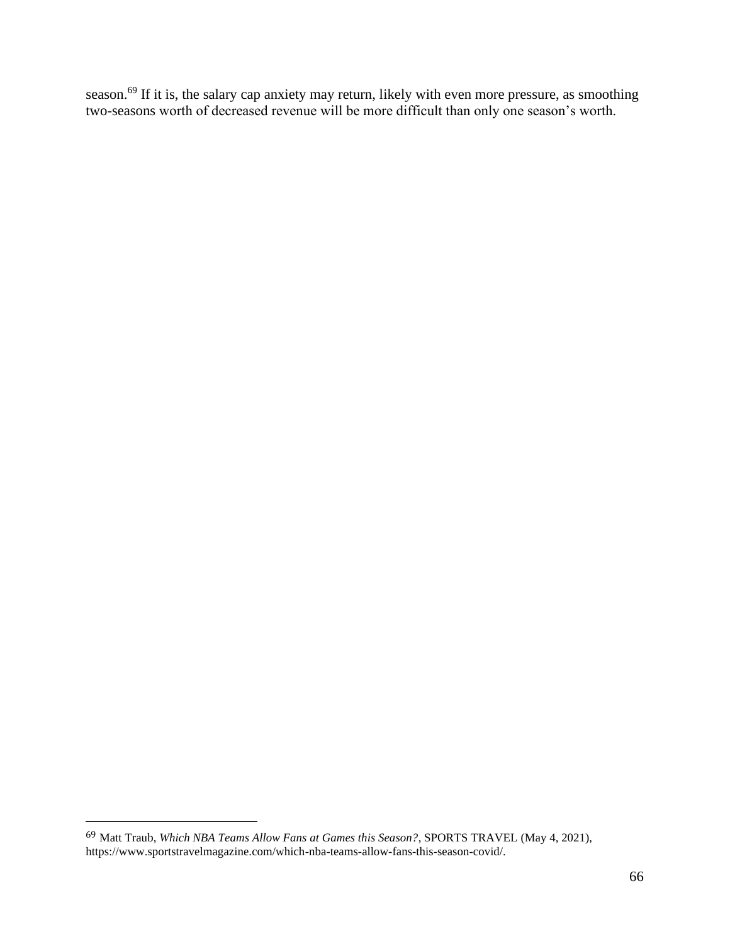season.<sup>69</sup> If it is, the salary cap anxiety may return, likely with even more pressure, as smoothing two-seasons worth of decreased revenue will be more difficult than only one season's worth.

<sup>69</sup> Matt Traub, *Which NBA Teams Allow Fans at Games this Season?*, SPORTS TRAVEL (May 4, 2021), https://www.sportstravelmagazine.com/which-nba-teams-allow-fans-this-season-covid/.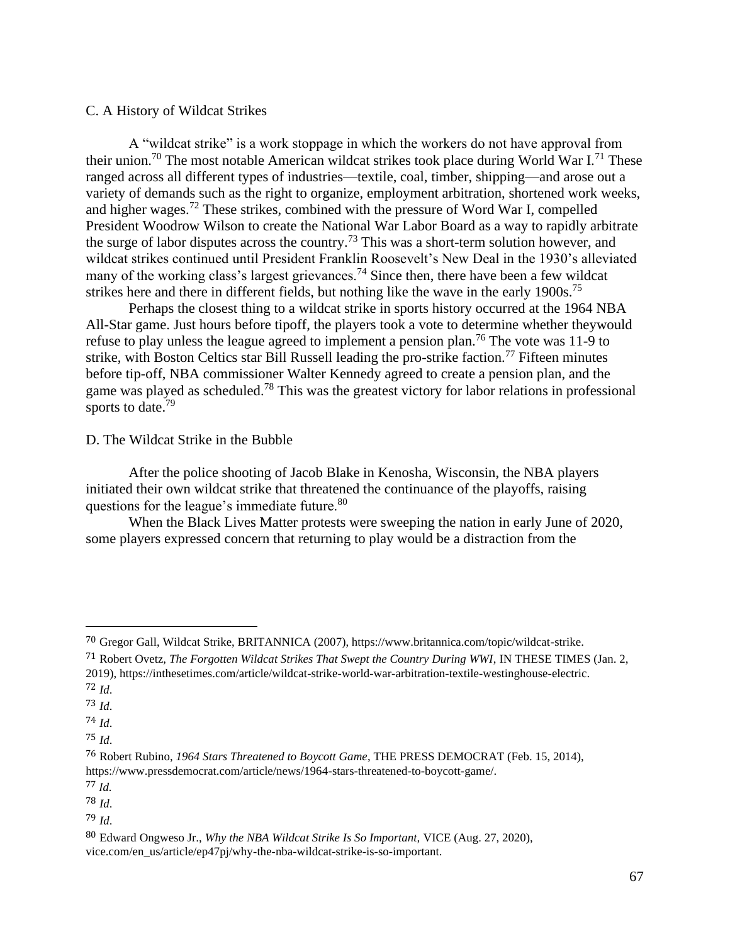## C. A History of Wildcat Strikes

A "wildcat strike" is a work stoppage in which the workers do not have approval from their union.<sup>70</sup> The most notable American wildcat strikes took place during World War I.<sup>71</sup> These ranged across all different types of industries—textile, coal, timber, shipping—and arose out a variety of demands such as the right to organize, employment arbitration, shortened work weeks, and higher wages.<sup>72</sup> These strikes, combined with the pressure of Word War I, compelled President Woodrow Wilson to create the National War Labor Board as a way to rapidly arbitrate the surge of labor disputes across the country.<sup>73</sup> This was a short-term solution however, and wildcat strikes continued until President Franklin Roosevelt's New Deal in the 1930's alleviated many of the working class's largest grievances.<sup>74</sup> Since then, there have been a few wildcat strikes here and there in different fields, but nothing like the wave in the early  $1900s$ .<sup>75</sup>

Perhaps the closest thing to a wildcat strike in sports history occurred at the 1964 NBA All-Star game. Just hours before tipoff, the players took a vote to determine whether theywould refuse to play unless the league agreed to implement a pension plan.<sup>76</sup> The vote was 11-9 to strike, with Boston Celtics star Bill Russell leading the pro-strike faction.<sup>77</sup> Fifteen minutes before tip-off, NBA commissioner Walter Kennedy agreed to create a pension plan, and the game was played as scheduled.<sup>78</sup> This was the greatest victory for labor relations in professional sports to date.<sup>79</sup>

D. The Wildcat Strike in the Bubble

After the police shooting of Jacob Blake in Kenosha, Wisconsin, the NBA players initiated their own wildcat strike that threatened the continuance of the playoffs, raising questions for the league's immediate future.<sup>80</sup>

When the Black Lives Matter protests were sweeping the nation in early June of 2020, some players expressed concern that returning to play would be a distraction from the

<sup>70</sup> Gregor Gall, Wildcat Strike, BRITANNICA (2007), https://www.britannica.com/topic/wildcat-strike.

<sup>71</sup> Robert Ovetz, *The Forgotten Wildcat Strikes That Swept the Country During WWI*, IN THESE TIMES (Jan. 2, 2019), https://inthesetimes.com/article/wildcat-strike-world-war-arbitration-textile-westinghouse-electric. <sup>72</sup> *Id*.

<sup>73</sup> *Id*. 74 *Id*.

<sup>75</sup> *Id*.

<sup>76</sup> Robert Rubino, *1964 Stars Threatened to Boycott Game*, THE PRESS DEMOCRAT (Feb. 15, 2014), https://www.pressdemocrat.com/article/news/1964-stars-threatened-to-boycott-game/.

<sup>77</sup> *Id*.

<sup>78</sup> *Id*.

<sup>79</sup> *Id*.

<sup>80</sup> Edward Ongweso Jr., *Why the NBA Wildcat Strike Is So Important,* VICE (Aug. 27, 2020), vice.com/en\_us/article/ep47pj/why-the-nba-wildcat-strike-is-so-important.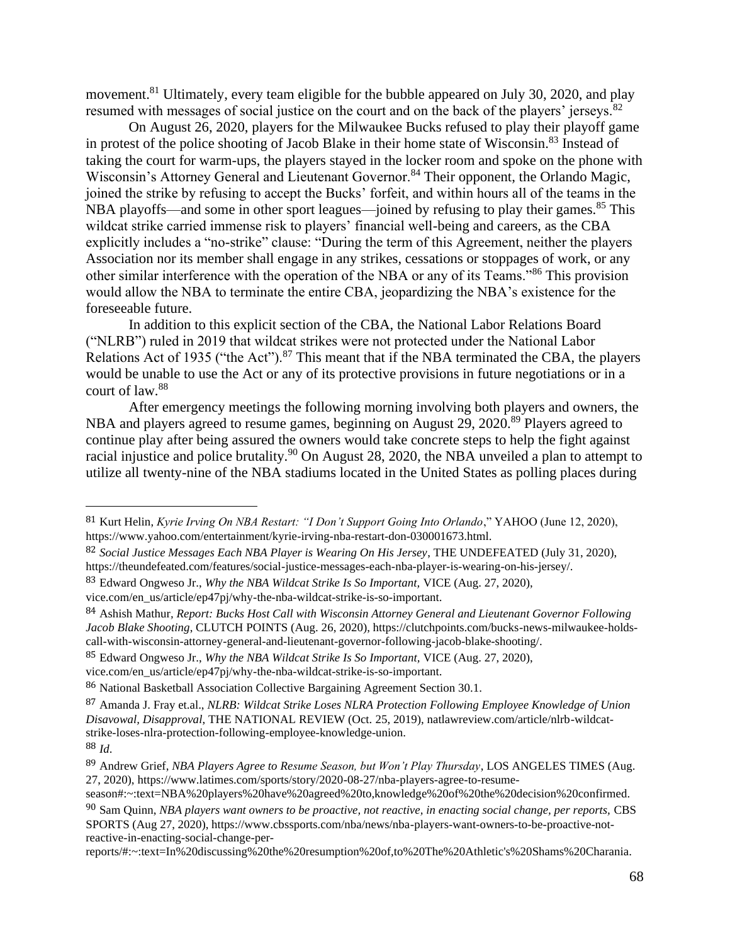movement.<sup>81</sup> Ultimately, every team eligible for the bubble appeared on July 30, 2020, and play resumed with messages of social justice on the court and on the back of the players' jerseys.<sup>82</sup>

On August 26, 2020, players for the Milwaukee Bucks refused to play their playoff game in protest of the police shooting of Jacob Blake in their home state of Wisconsin.<sup>83</sup> Instead of taking the court for warm-ups, the players stayed in the locker room and spoke on the phone with Wisconsin's Attorney General and Lieutenant Governor.<sup>84</sup> Their opponent, the Orlando Magic, joined the strike by refusing to accept the Bucks' forfeit, and within hours all of the teams in the NBA playoffs—and some in other sport leagues—joined by refusing to play their games.<sup>85</sup> This wildcat strike carried immense risk to players' financial well-being and careers, as the CBA explicitly includes a "no-strike" clause: "During the term of this Agreement, neither the players Association nor its member shall engage in any strikes, cessations or stoppages of work, or any other similar interference with the operation of the NBA or any of its Teams."<sup>86</sup> This provision would allow the NBA to terminate the entire CBA, jeopardizing the NBA's existence for the foreseeable future.

In addition to this explicit section of the CBA, the National Labor Relations Board ("NLRB") ruled in 2019 that wildcat strikes were not protected under the National Labor Relations Act of 1935 ("the Act").<sup>87</sup> This meant that if the NBA terminated the CBA, the players would be unable to use the Act or any of its protective provisions in future negotiations or in a court of law.<sup>88</sup>

After emergency meetings the following morning involving both players and owners, the NBA and players agreed to resume games, beginning on August 29, 2020.<sup>89</sup> Players agreed to continue play after being assured the owners would take concrete steps to help the fight against racial injustice and police brutality.<sup>90</sup> On August 28, 2020, the NBA unveiled a plan to attempt to utilize all twenty-nine of the NBA stadiums located in the United States as polling places during

vice.com/en\_us/article/ep47pj/why-the-nba-wildcat-strike-is-so-important.

<sup>81</sup> Kurt Helin, *Kyrie Irving On NBA Restart: "I Don't Support Going Into Orlando*," YAHOO (June 12, 2020), https://www.yahoo.com/entertainment/kyrie-irving-nba-restart-don-030001673.html.

<sup>82</sup> *Social Justice Messages Each NBA Player is Wearing On His Jersey*, THE UNDEFEATED (July 31, 2020), https://theundefeated.com/features/social-justice-messages-each-nba-player-is-wearing-on-his-jersey/.

<sup>83</sup> Edward Ongweso Jr., *Why the NBA Wildcat Strike Is So Important,* VICE (Aug. 27, 2020),

<sup>84</sup> Ashish Mathur*, Report: Bucks Host Call with Wisconsin Attorney General and Lieutenant Governor Following Jacob Blake Shooting*, CLUTCH POINTS (Aug. 26, 2020), https://clutchpoints.com/bucks-news-milwaukee-holdscall-with-wisconsin-attorney-general-and-lieutenant-governor-following-jacob-blake-shooting/.

<sup>85</sup> Edward Ongweso Jr., *Why the NBA Wildcat Strike Is So Important,* VICE (Aug. 27, 2020),

vice.com/en\_us/article/ep47pj/why-the-nba-wildcat-strike-is-so-important.

<sup>86</sup> National Basketball Association Collective Bargaining Agreement Section 30.1.

<sup>87</sup> Amanda J. Fray et.al., *NLRB: Wildcat Strike Loses NLRA Protection Following Employee Knowledge of Union Disavowal, Disapproval*, THE NATIONAL REVIEW (Oct. 25, 2019), natlawreview.com/article/nlrb-wildcatstrike-loses-nlra-protection-following-employee-knowledge-union. 88 *Id*.

<sup>89</sup> Andrew Grief, *NBA Players Agree to Resume Season, but Won't Play Thursday*, LOS ANGELES TIMES (Aug. 27, 2020), https://www.latimes.com/sports/story/2020-08-27/nba-players-agree-to-resume-

season#:~:text=NBA%20players%20have%20agreed%20to,knowledge%20of%20the%20decision%20confirmed.

<sup>&</sup>lt;sup>90</sup> Sam Quinn, *NBA players want owners to be proactive, not reactive, in enacting social change, per reports, CBS* SPORTS (Aug 27, 2020), https://www.cbssports.com/nba/news/nba-players-want-owners-to-be-proactive-notreactive-in-enacting-social-change-per-

reports/#:~:text=In%20discussing%20the%20resumption%20of,to%20The%20Athletic's%20Shams%20Charania.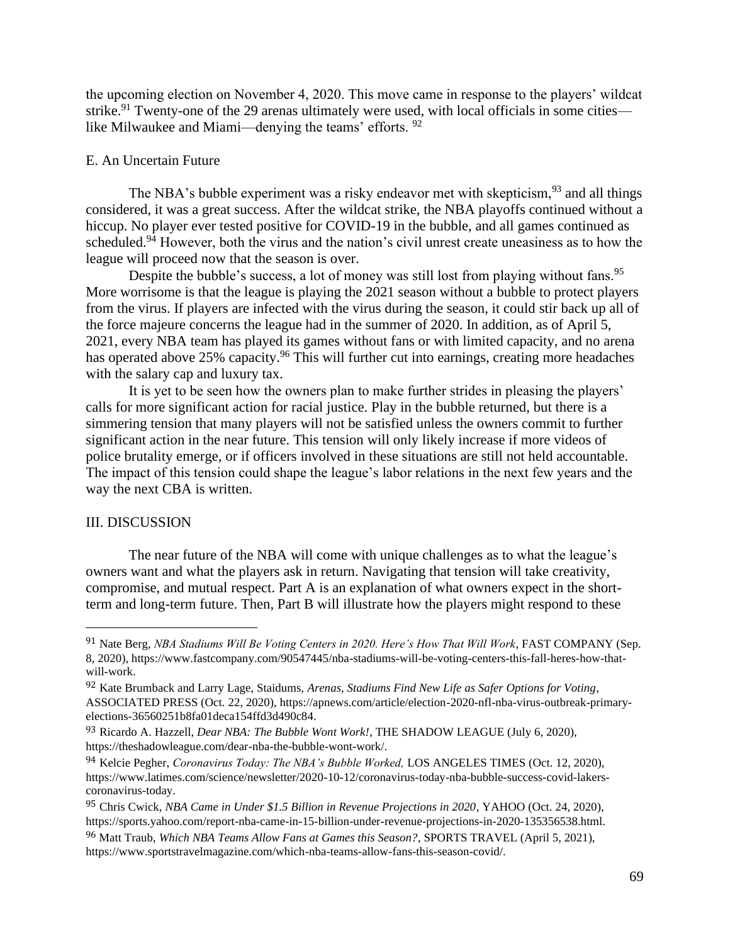the upcoming election on November 4, 2020. This move came in response to the players' wildcat strike.<sup>91</sup> Twenty-one of the 29 arenas ultimately were used, with local officials in some cities like Milwaukee and Miami—denying the teams' efforts. <sup>92</sup>

## E. An Uncertain Future

The NBA's bubble experiment was a risky endeavor met with skepticism,  $93$  and all things considered, it was a great success. After the wildcat strike, the NBA playoffs continued without a hiccup. No player ever tested positive for COVID-19 in the bubble, and all games continued as scheduled.<sup>94</sup> However, both the virus and the nation's civil unrest create uneasiness as to how the league will proceed now that the season is over.

Despite the bubble's success, a lot of money was still lost from playing without fans.<sup>95</sup> More worrisome is that the league is playing the 2021 season without a bubble to protect players from the virus. If players are infected with the virus during the season, it could stir back up all of the force majeure concerns the league had in the summer of 2020. In addition, as of April 5, 2021, every NBA team has played its games without fans or with limited capacity, and no arena has operated above 25% capacity.<sup>96</sup> This will further cut into earnings, creating more headaches with the salary cap and luxury tax.

It is yet to be seen how the owners plan to make further strides in pleasing the players' calls for more significant action for racial justice. Play in the bubble returned, but there is a simmering tension that many players will not be satisfied unless the owners commit to further significant action in the near future. This tension will only likely increase if more videos of police brutality emerge, or if officers involved in these situations are still not held accountable. The impact of this tension could shape the league's labor relations in the next few years and the way the next CBA is written.

#### III. DISCUSSION

The near future of the NBA will come with unique challenges as to what the league's owners want and what the players ask in return. Navigating that tension will take creativity, compromise, and mutual respect. Part A is an explanation of what owners expect in the shortterm and long-term future. Then, Part B will illustrate how the players might respond to these

<sup>91</sup> Nate Berg, *NBA Stadiums Will Be Voting Centers in 2020. Here's How That Will Work*, FAST COMPANY (Sep. 8, 2020), https://www.fastcompany.com/90547445/nba-stadiums-will-be-voting-centers-this-fall-heres-how-thatwill-work.

<sup>92</sup> Kate Brumback and Larry Lage, Staidums, *Arenas, Stadiums Find New Life as Safer Options for Voting*, ASSOCIATED PRESS (Oct. 22, 2020), https://apnews.com/article/election-2020-nfl-nba-virus-outbreak-primaryelections-36560251b8fa01deca154ffd3d490c84.

<sup>93</sup> Ricardo A. Hazzell, *Dear NBA: The Bubble Wont Work!*, THE SHADOW LEAGUE (July 6, 2020), https://theshadowleague.com/dear-nba-the-bubble-wont-work/.

<sup>94</sup> Kelcie Pegher, *Coronavirus Today: The NBA's Bubble Worked,* LOS ANGELES TIMES (Oct. 12, 2020), https://www.latimes.com/science/newsletter/2020-10-12/coronavirus-today-nba-bubble-success-covid-lakerscoronavirus-today.

<sup>95</sup> Chris Cwick, *NBA Came in Under \$1.5 Billion in Revenue Projections in 2020*, YAHOO (Oct. 24, 2020), https://sports.yahoo.com/report-nba-came-in-15-billion-under-revenue-projections-in-2020-135356538.html. 96 Matt Traub, *Which NBA Teams Allow Fans at Games this Season?*, SPORTS TRAVEL (April 5, 2021), https://www.sportstravelmagazine.com/which-nba-teams-allow-fans-this-season-covid/.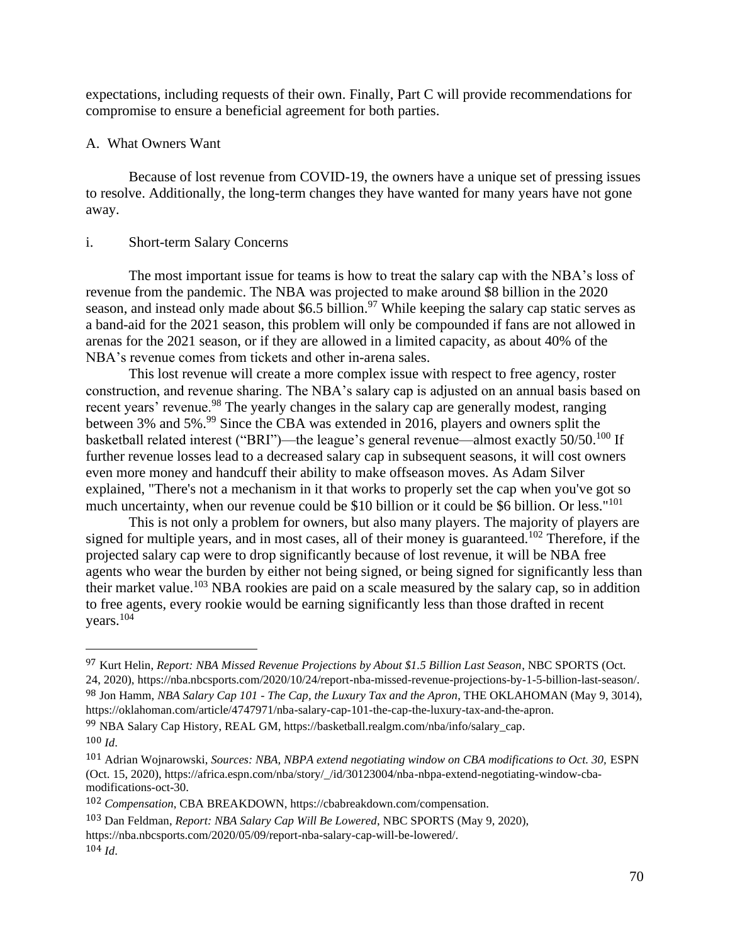expectations, including requests of their own. Finally, Part C will provide recommendations for compromise to ensure a beneficial agreement for both parties.

#### A. What Owners Want

Because of lost revenue from COVID-19, the owners have a unique set of pressing issues to resolve. Additionally, the long-term changes they have wanted for many years have not gone away.

#### i. Short-term Salary Concerns

The most important issue for teams is how to treat the salary cap with the NBA's loss of revenue from the pandemic. The NBA was projected to make around \$8 billion in the 2020 season, and instead only made about \$6.5 billion.<sup>97</sup> While keeping the salary cap static serves as a band-aid for the 2021 season, this problem will only be compounded if fans are not allowed in arenas for the 2021 season, or if they are allowed in a limited capacity, as about 40% of the NBA's revenue comes from tickets and other in-arena sales.

This lost revenue will create a more complex issue with respect to free agency, roster construction, and revenue sharing. The NBA's salary cap is adjusted on an annual basis based on recent years' revenue.<sup>98</sup> The yearly changes in the salary cap are generally modest, ranging between 3% and 5%.<sup>99</sup> Since the CBA was extended in 2016, players and owners split the basketball related interest ("BRI")—the league's general revenue—almost exactly 50/50.<sup>100</sup> If further revenue losses lead to a decreased salary cap in subsequent seasons, it will cost owners even more money and handcuff their ability to make offseason moves. As Adam Silver explained, "There's not a mechanism in it that works to properly set the cap when you've got so much uncertainty, when our revenue could be \$10 billion or it could be \$6 billion. Or less."<sup>101</sup>

This is not only a problem for owners, but also many players. The majority of players are signed for multiple years, and in most cases, all of their money is guaranteed.<sup>102</sup> Therefore, if the projected salary cap were to drop significantly because of lost revenue, it will be NBA free agents who wear the burden by either not being signed, or being signed for significantly less than their market value.<sup>103</sup> NBA rookies are paid on a scale measured by the salary cap, so in addition to free agents, every rookie would be earning significantly less than those drafted in recent vears. $104$ 

99 NBA Salary Cap History, REAL GM, https://basketball.realgm.com/nba/info/salary\_cap. 100 *Id*.

<sup>97</sup> Kurt Helin, *Report: NBA Missed Revenue Projections by About \$1.5 Billion Last Season*, NBC SPORTS (Oct. 24, 2020), https://nba.nbcsports.com/2020/10/24/report-nba-missed-revenue-projections-by-1-5-billion-last-season/. 98 Jon Hamm, *NBA Salary Cap 101 - The Cap, the Luxury Tax and the Apron*, THE OKLAHOMAN (May 9, 3014),

https://oklahoman.com/article/4747971/nba-salary-cap-101-the-cap-the-luxury-tax-and-the-apron.

<sup>&</sup>lt;sup>101</sup> Adrian Wojnarowski, *Sources: NBA, NBPA extend negotiating window on CBA modifications to Oct.* 30, ESPN (Oct. 15, 2020), https://africa.espn.com/nba/story/\_/id/30123004/nba-nbpa-extend-negotiating-window-cbamodifications-oct-30.

<sup>102</sup> *Compensation*, CBA BREAKDOWN, https://cbabreakdown.com/compensation.

<sup>103</sup> Dan Feldman, *Report: NBA Salary Cap Will Be Lowered*, NBC SPORTS (May 9, 2020),

https://nba.nbcsports.com/2020/05/09/report-nba-salary-cap-will-be-lowered/. 104 *Id*.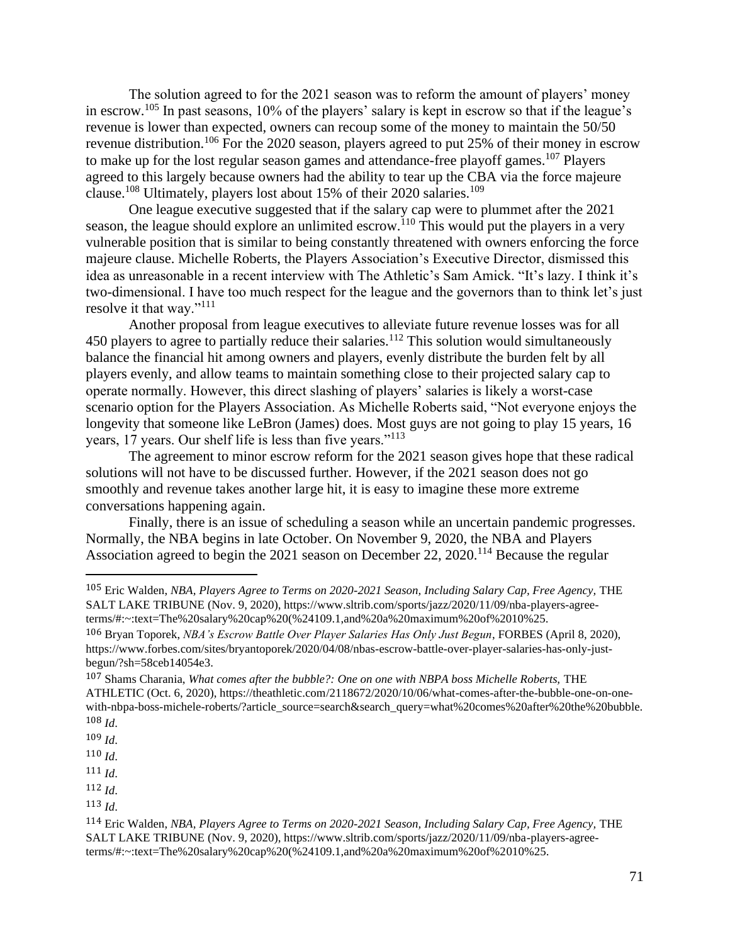The solution agreed to for the 2021 season was to reform the amount of players' money in escrow.<sup>105</sup> In past seasons, 10% of the players' salary is kept in escrow so that if the league's revenue is lower than expected, owners can recoup some of the money to maintain the 50/50 revenue distribution.<sup>106</sup> For the 2020 season, players agreed to put 25% of their money in escrow to make up for the lost regular season games and attendance-free playoff games.<sup>107</sup> Players agreed to this largely because owners had the ability to tear up the CBA via the force majeure clause.<sup>108</sup> Ultimately, players lost about 15% of their 2020 salaries.<sup>109</sup>

One league executive suggested that if the salary cap were to plummet after the 2021 season, the league should explore an unlimited escrow.<sup>110</sup> This would put the players in a very vulnerable position that is similar to being constantly threatened with owners enforcing the force majeure clause. Michelle Roberts, the Players Association's Executive Director, dismissed this idea as unreasonable in a recent interview with The Athletic's Sam Amick. "It's lazy. I think it's two-dimensional. I have too much respect for the league and the governors than to think let's just resolve it that way."<sup>111</sup>

Another proposal from league executives to alleviate future revenue losses was for all 450 players to agree to partially reduce their salaries.<sup>112</sup> This solution would simultaneously balance the financial hit among owners and players, evenly distribute the burden felt by all players evenly, and allow teams to maintain something close to their projected salary cap to operate normally. However, this direct slashing of players' salaries is likely a worst-case scenario option for the Players Association. As Michelle Roberts said, "Not everyone enjoys the longevity that someone like LeBron (James) does. Most guys are not going to play 15 years, 16 years, 17 years. Our shelf life is less than five years."<sup>113</sup>

The agreement to minor escrow reform for the 2021 season gives hope that these radical solutions will not have to be discussed further. However, if the 2021 season does not go smoothly and revenue takes another large hit, it is easy to imagine these more extreme conversations happening again.

Finally, there is an issue of scheduling a season while an uncertain pandemic progresses. Normally, the NBA begins in late October. On November 9, 2020, the NBA and Players Association agreed to begin the 2021 season on December 22, 2020.<sup>114</sup> Because the regular

<sup>105</sup> Eric Walden, *NBA, Players Agree to Terms on 2020-2021 Season, Including Salary Cap, Free Agency,* THE SALT LAKE TRIBUNE (Nov. 9, 2020), https://www.sltrib.com/sports/jazz/2020/11/09/nba-players-agreeterms/#:~:text=The%20salary%20cap%20(%24109.1,and%20a%20maximum%20of%2010%25.

<sup>106</sup> Bryan Toporek, *NBA's Escrow Battle Over Player Salaries Has Only Just Begun*, FORBES (April 8, 2020), https://www.forbes.com/sites/bryantoporek/2020/04/08/nbas-escrow-battle-over-player-salaries-has-only-justbegun/?sh=58ceb14054e3.

<sup>107</sup> Shams Charania, *What comes after the bubble?: One on one with NBPA boss Michelle Roberts,* THE ATHLETIC (Oct. 6, 2020), https://theathletic.com/2118672/2020/10/06/what-comes-after-the-bubble-one-on-onewith-nbpa-boss-michele-roberts/?article\_source=search&search\_query=what%20comes%20after%20the%20bubble. 108 *Id*.

<sup>109</sup> *Id*.

<sup>110</sup> *Id*.

<sup>111</sup> *Id*.

<sup>113</sup> *Id*.

<sup>114</sup> Eric Walden, *NBA, Players Agree to Terms on 2020-2021 Season, Including Salary Cap, Free Agency,* THE SALT LAKE TRIBUNE (Nov. 9, 2020), https://www.sltrib.com/sports/jazz/2020/11/09/nba-players-agreeterms/#:~:text=The%20salary%20cap%20(%24109.1,and%20a%20maximum%20of%2010%25.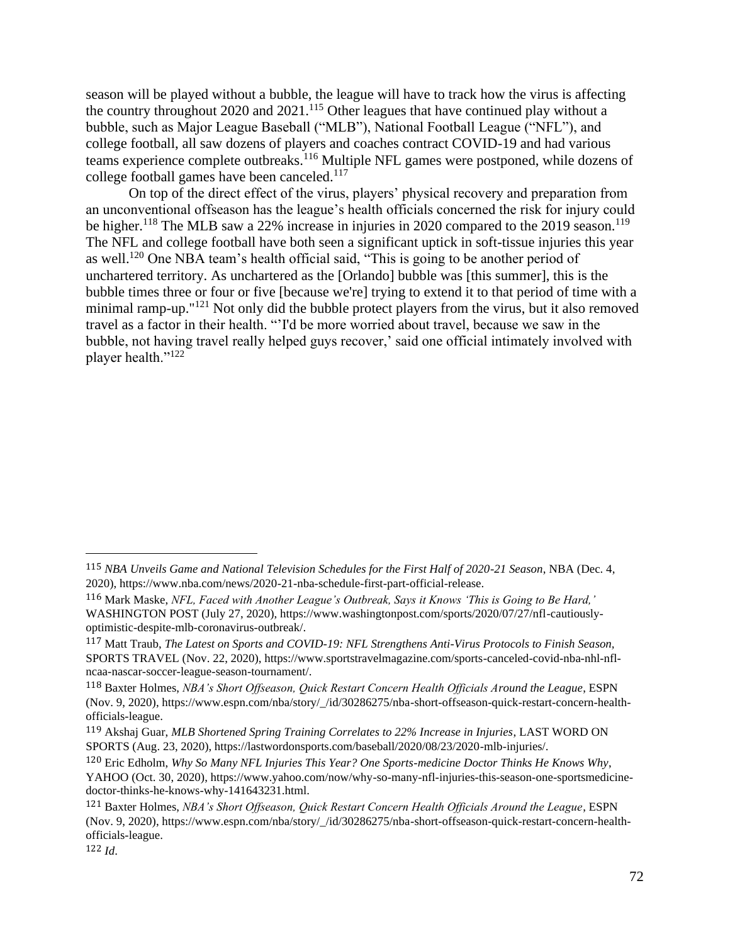season will be played without a bubble, the league will have to track how the virus is affecting the country throughout 2020 and  $2021$ .<sup>115</sup> Other leagues that have continued play without a bubble, such as Major League Baseball ("MLB"), National Football League ("NFL"), and college football, all saw dozens of players and coaches contract COVID-19 and had various teams experience complete outbreaks.<sup>116</sup> Multiple NFL games were postponed, while dozens of college football games have been canceled.<sup>117</sup>

On top of the direct effect of the virus, players' physical recovery and preparation from an unconventional offseason has the league's health officials concerned the risk for injury could be higher.<sup>118</sup> The MLB saw a 22% increase in injuries in 2020 compared to the 2019 season.<sup>119</sup> The NFL and college football have both seen a significant uptick in soft-tissue injuries this year as well.<sup>120</sup> One NBA team's health official said, "This is going to be another period of unchartered territory. As unchartered as the [Orlando] bubble was [this summer], this is the bubble times three or four or five [because we're] trying to extend it to that period of time with a minimal ramp-up."<sup>121</sup> Not only did the bubble protect players from the virus, but it also removed travel as a factor in their health. "'I'd be more worried about travel, because we saw in the bubble, not having travel really helped guys recover,' said one official intimately involved with player health."<sup>122</sup>

<sup>115</sup> *NBA Unveils Game and National Television Schedules for the First Half of 2020-21 Season*, NBA (Dec. 4, 2020), https://www.nba.com/news/2020-21-nba-schedule-first-part-official-release.

<sup>116</sup> Mark Maske, *NFL, Faced with Another League's Outbreak, Says it Knows 'This is Going to Be Hard,'*  WASHINGTON POST (July 27, 2020), https://www.washingtonpost.com/sports/2020/07/27/nfl-cautiouslyoptimistic-despite-mlb-coronavirus-outbreak/.

<sup>117</sup> Matt Traub, *The Latest on Sports and COVID-19: NFL Strengthens Anti-Virus Protocols to Finish Season,*  SPORTS TRAVEL (Nov. 22, 2020), https://www.sportstravelmagazine.com/sports-canceled-covid-nba-nhl-nflncaa-nascar-soccer-league-season-tournament/.

<sup>118</sup> Baxter Holmes, *NBA's Short Offseason, Quick Restart Concern Health Officials Around the League*, ESPN (Nov. 9, 2020), https://www.espn.com/nba/story/\_/id/30286275/nba-short-offseason-quick-restart-concern-healthofficials-league.

<sup>119</sup> Akshaj Guar, *MLB Shortened Spring Training Correlates to 22% Increase in Injuries*, LAST WORD ON SPORTS (Aug. 23, 2020), https://lastwordonsports.com/baseball/2020/08/23/2020-mlb-injuries/.

<sup>120</sup> Eric Edholm, *Why So Many NFL Injuries This Year? One Sports-medicine Doctor Thinks He Knows Why*, YAHOO (Oct. 30, 2020), https://www.yahoo.com/now/why-so-many-nfl-injuries-this-season-one-sportsmedicinedoctor-thinks-he-knows-why-141643231.html.

<sup>121</sup> Baxter Holmes, *NBA's Short Offseason, Quick Restart Concern Health Officials Around the League*, ESPN (Nov. 9, 2020), https://www.espn.com/nba/story/\_/id/30286275/nba-short-offseason-quick-restart-concern-healthofficials-league.

<sup>122</sup> *Id*.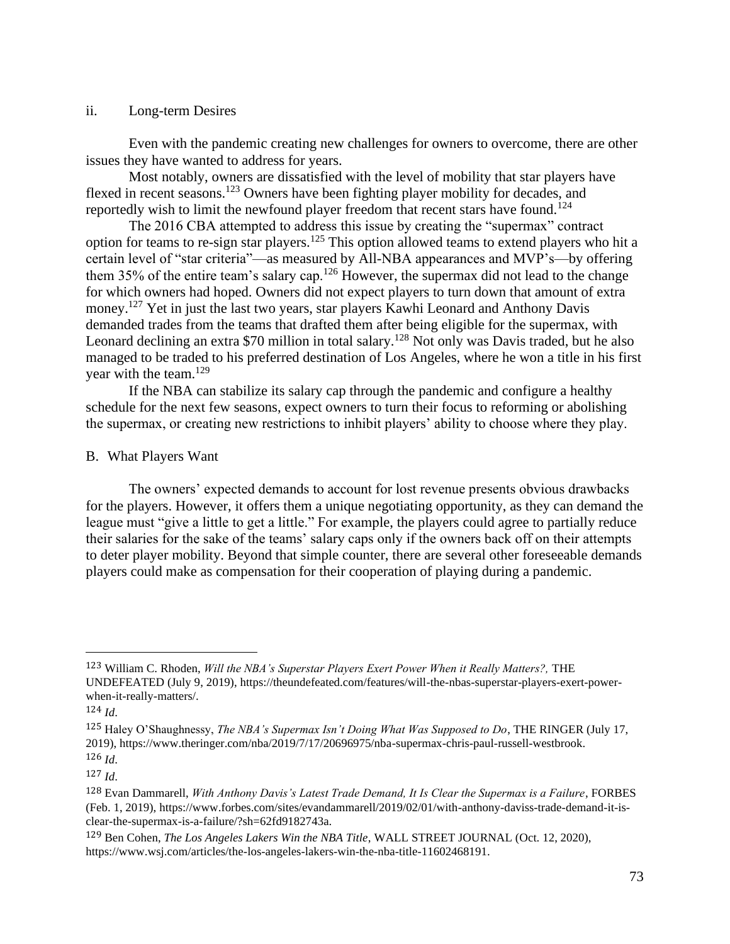## ii. Long-term Desires

Even with the pandemic creating new challenges for owners to overcome, there are other issues they have wanted to address for years.

Most notably, owners are dissatisfied with the level of mobility that star players have flexed in recent seasons.<sup>123</sup> Owners have been fighting player mobility for decades, and reportedly wish to limit the newfound player freedom that recent stars have found.<sup>124</sup>

The 2016 CBA attempted to address this issue by creating the "supermax" contract option for teams to re-sign star players.<sup>125</sup> This option allowed teams to extend players who hit a certain level of "star criteria"—as measured by All-NBA appearances and MVP's—by offering them 35% of the entire team's salary cap.<sup>126</sup> However, the supermax did not lead to the change for which owners had hoped. Owners did not expect players to turn down that amount of extra money.<sup>127</sup> Yet in just the last two years, star players Kawhi Leonard and Anthony Davis demanded trades from the teams that drafted them after being eligible for the supermax, with Leonard declining an extra \$70 million in total salary.<sup>128</sup> Not only was Davis traded, but he also managed to be traded to his preferred destination of Los Angeles, where he won a title in his first year with the team.<sup>129</sup>

If the NBA can stabilize its salary cap through the pandemic and configure a healthy schedule for the next few seasons, expect owners to turn their focus to reforming or abolishing the supermax, or creating new restrictions to inhibit players' ability to choose where they play.

# B. What Players Want

The owners' expected demands to account for lost revenue presents obvious drawbacks for the players. However, it offers them a unique negotiating opportunity, as they can demand the league must "give a little to get a little." For example, the players could agree to partially reduce their salaries for the sake of the teams' salary caps only if the owners back off on their attempts to deter player mobility. Beyond that simple counter, there are several other foreseeable demands players could make as compensation for their cooperation of playing during a pandemic.

<sup>123</sup> William C. Rhoden, *Will the NBA's Superstar Players Exert Power When it Really Matters?,* THE UNDEFEATED (July 9, 2019), https://theundefeated.com/features/will-the-nbas-superstar-players-exert-powerwhen-it-really-matters/.

<sup>124</sup> *Id*.

<sup>125</sup> Haley O'Shaughnessy, *The NBA's Supermax Isn't Doing What Was Supposed to Do*, THE RINGER (July 17, 2019), https://www.theringer.com/nba/2019/7/17/20696975/nba-supermax-chris-paul-russell-westbrook. 126 *Id*.

<sup>127</sup> *Id*.

<sup>128</sup> Evan Dammarell, *With Anthony Davis's Latest Trade Demand, It Is Clear the Supermax is a Failure*, FORBES (Feb. 1, 2019), https://www.forbes.com/sites/evandammarell/2019/02/01/with-anthony-daviss-trade-demand-it-isclear-the-supermax-is-a-failure/?sh=62fd9182743a.

<sup>129</sup> Ben Cohen, *The Los Angeles Lakers Win the NBA Title*, WALL STREET JOURNAL (Oct. 12, 2020), https://www.wsj.com/articles/the-los-angeles-lakers-win-the-nba-title-11602468191.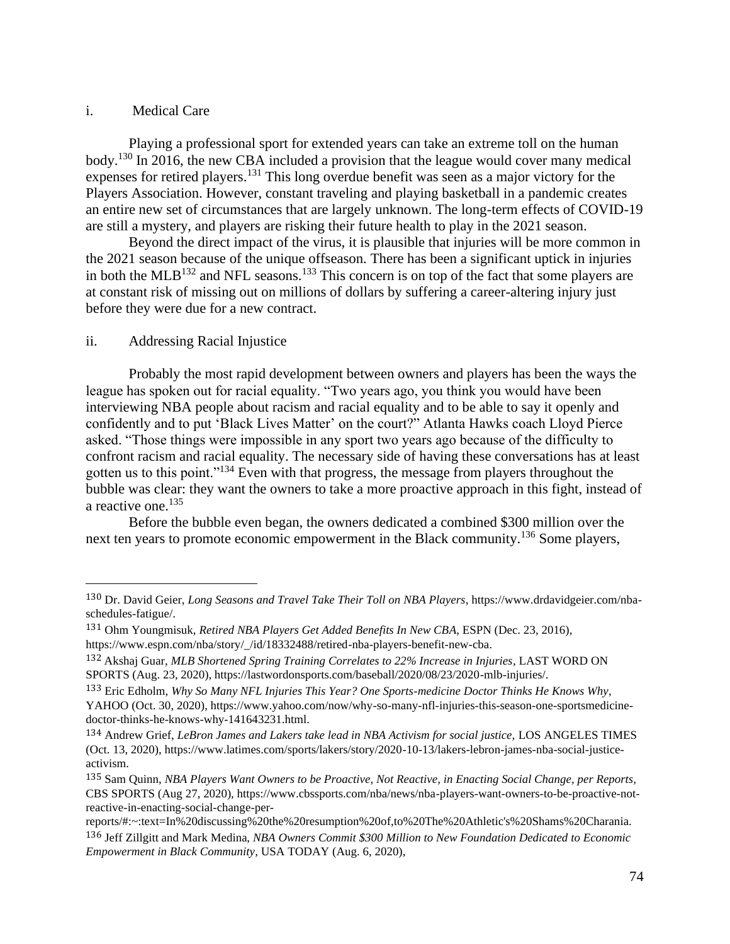## i. Medical Care

Playing a professional sport for extended years can take an extreme toll on the human body.<sup>130</sup> In 2016, the new CBA included a provision that the league would cover many medical expenses for retired players.<sup>131</sup> This long overdue benefit was seen as a major victory for the Players Association. However, constant traveling and playing basketball in a pandemic creates an entire new set of circumstances that are largely unknown. The long-term effects of COVID-19 are still a mystery, and players are risking their future health to play in the 2021 season.

Beyond the direct impact of the virus, it is plausible that injuries will be more common in the 2021 season because of the unique offseason. There has been a significant uptick in injuries in both the MLB<sup>132</sup> and NFL seasons.<sup>133</sup> This concern is on top of the fact that some players are at constant risk of missing out on millions of dollars by suffering a career-altering injury just before they were due for a new contract.

# ii. Addressing Racial Injustice

Probably the most rapid development between owners and players has been the ways the league has spoken out for racial equality. "Two years ago, you think you would have been interviewing NBA people about racism and racial equality and to be able to say it openly and confidently and to put 'Black Lives Matter' on the court?" Atlanta Hawks coach Lloyd Pierce asked. "Those things were impossible in any sport two years ago because of the difficulty to confront racism and racial equality. The necessary side of having these conversations has at least gotten us to this point."<sup>134</sup> Even with that progress, the message from players throughout the bubble was clear: they want the owners to take a more proactive approach in this fight, instead of a reactive one.<sup>135</sup>

Before the bubble even began, the owners dedicated a combined \$300 million over the next ten years to promote economic empowerment in the Black community.<sup>136</sup> Some players,

<sup>130</sup> Dr. David Geier, *Long Seasons and Travel Take Their Toll on NBA Players*, https://www.drdavidgeier.com/nbaschedules-fatigue/.

<sup>131</sup> Ohm Youngmisuk, *Retired NBA Players Get Added Benefits In New CBA*, ESPN (Dec. 23, 2016), https://www.espn.com/nba/story/\_/id/18332488/retired-nba-players-benefit-new-cba.

<sup>132</sup> Akshaj Guar, *MLB Shortened Spring Training Correlates to 22% Increase in Injuries*, LAST WORD ON SPORTS (Aug. 23, 2020), https://lastwordonsports.com/baseball/2020/08/23/2020-mlb-injuries/.

<sup>133</sup> Eric Edholm, *Why So Many NFL Injuries This Year? One Sports-medicine Doctor Thinks He Knows Why*, YAHOO (Oct. 30, 2020), https://www.yahoo.com/now/why-so-many-nfl-injuries-this-season-one-sportsmedicinedoctor-thinks-he-knows-why-141643231.html.

<sup>134</sup> Andrew Grief, *LeBron James and Lakers take lead in NBA Activism for social justice,* LOS ANGELES TIMES (Oct. 13, 2020), https://www.latimes.com/sports/lakers/story/2020-10-13/lakers-lebron-james-nba-social-justiceactivism.

<sup>135</sup> Sam Quinn, *NBA Players Want Owners to be Proactive, Not Reactive, in Enacting Social Change, per Reports,*  CBS SPORTS (Aug 27, 2020), https://www.cbssports.com/nba/news/nba-players-want-owners-to-be-proactive-notreactive-in-enacting-social-change-per-

reports/#:~:text=In%20discussing%20the%20resumption%20of,to%20The%20Athletic's%20Shams%20Charania. 136 Jeff Zillgitt and Mark Medina, *NBA Owners Commit \$300 Million to New Foundation Dedicated to Economic Empowerment in Black Community*, USA TODAY (Aug. 6, 2020),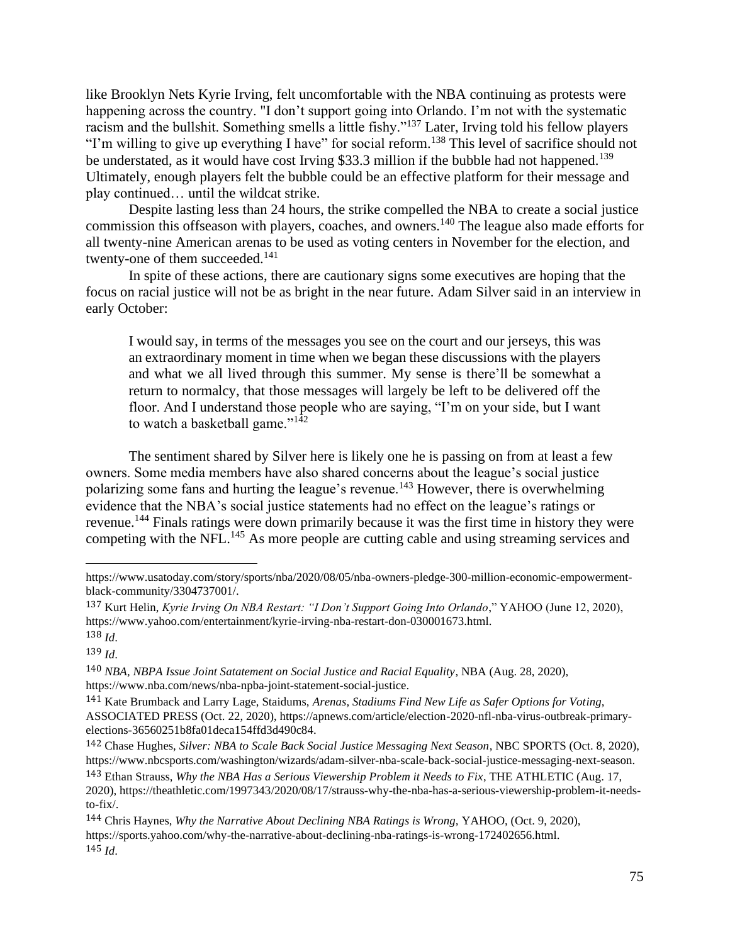like Brooklyn Nets Kyrie Irving, felt uncomfortable with the NBA continuing as protests were happening across the country. "I don't support going into Orlando. I'm not with the systematic racism and the bullshit. Something smells a little fishy."<sup>137</sup> Later, Irving told his fellow players "I'm willing to give up everything I have" for social reform.<sup>138</sup> This level of sacrifice should not be understated, as it would have cost Irving \$33.3 million if the bubble had not happened.<sup>139</sup> Ultimately, enough players felt the bubble could be an effective platform for their message and play continued… until the wildcat strike.

Despite lasting less than 24 hours, the strike compelled the NBA to create a social justice commission this offseason with players, coaches, and owners.<sup>140</sup> The league also made efforts for all twenty-nine American arenas to be used as voting centers in November for the election, and twenty-one of them succeeded.<sup>141</sup>

In spite of these actions, there are cautionary signs some executives are hoping that the focus on racial justice will not be as bright in the near future. Adam Silver said in an interview in early October:

I would say, in terms of the messages you see on the court and our jerseys, this was an extraordinary moment in time when we began these discussions with the players and what we all lived through this summer. My sense is there'll be somewhat a return to normalcy, that those messages will largely be left to be delivered off the floor. And I understand those people who are saying, "I'm on your side, but I want to watch a basketball game."<sup>142</sup>

The sentiment shared by Silver here is likely one he is passing on from at least a few owners. Some media members have also shared concerns about the league's social justice polarizing some fans and hurting the league's revenue.<sup>143</sup> However, there is overwhelming evidence that the NBA's social justice statements had no effect on the league's ratings or revenue.<sup>144</sup> Finals ratings were down primarily because it was the first time in history they were competing with the NFL.<sup>145</sup> As more people are cutting cable and using streaming services and

https://www.usatoday.com/story/sports/nba/2020/08/05/nba-owners-pledge-300-million-economic-empowermentblack-community/3304737001/.

<sup>137</sup> Kurt Helin, *Kyrie Irving On NBA Restart: "I Don't Support Going Into Orlando*," YAHOO (June 12, 2020), https://www.yahoo.com/entertainment/kyrie-irving-nba-restart-don-030001673.html. 138 *Id*.

<sup>140</sup> *NBA, NBPA Issue Joint Satatement on Social Justice and Racial Equality*, NBA (Aug. 28, 2020), https://www.nba.com/news/nba-npba-joint-statement-social-justice.

<sup>141</sup> Kate Brumback and Larry Lage, Staidums, *Arenas, Stadiums Find New Life as Safer Options for Voting*, ASSOCIATED PRESS (Oct. 22, 2020), https://apnews.com/article/election-2020-nfl-nba-virus-outbreak-primaryelections-36560251b8fa01deca154ffd3d490c84.

<sup>142</sup> Chase Hughes, *Silver: NBA to Scale Back Social Justice Messaging Next Season*, NBC SPORTS (Oct. 8, 2020), https://www.nbcsports.com/washington/wizards/adam-silver-nba-scale-back-social-justice-messaging-next-season.

<sup>143</sup> Ethan Strauss, *Why the NBA Has a Serious Viewership Problem it Needs to Fix*, THE ATHLETIC (Aug. 17, 2020), https://theathletic.com/1997343/2020/08/17/strauss-why-the-nba-has-a-serious-viewership-problem-it-needsto-fix/.

<sup>144</sup> Chris Haynes, *Why the Narrative About Declining NBA Ratings is Wrong,* YAHOO, (Oct. 9, 2020), https://sports.yahoo.com/why-the-narrative-about-declining-nba-ratings-is-wrong-172402656.html.  $145$  *Id.*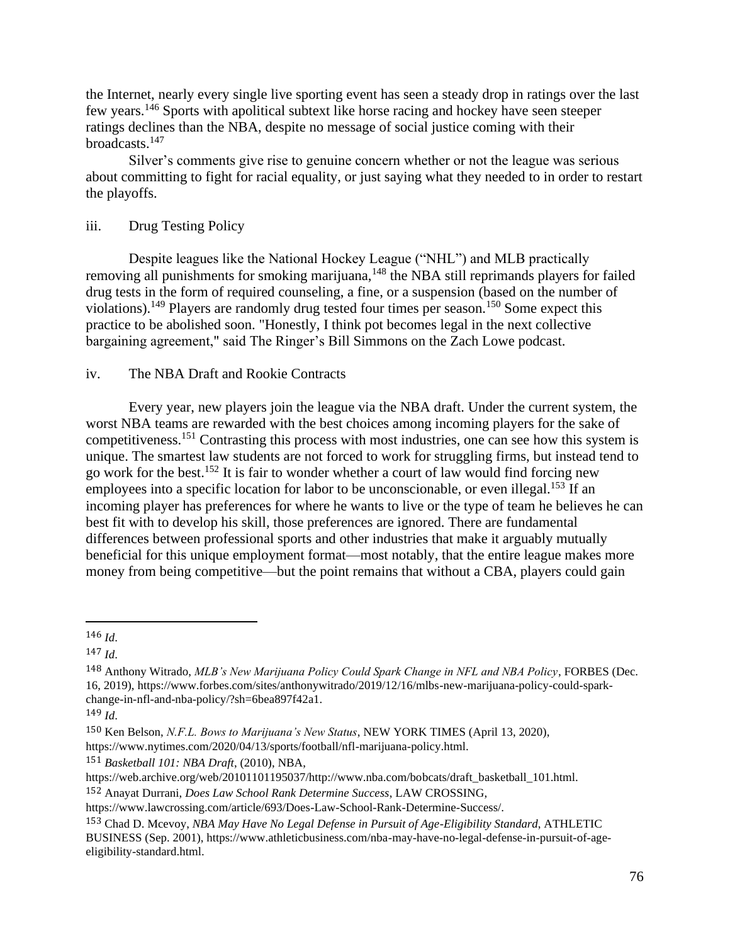the Internet, nearly every single live sporting event has seen a steady drop in ratings over the last few years.<sup>146</sup> Sports with apolitical subtext like horse racing and hockey have seen steeper ratings declines than the NBA, despite no message of social justice coming with their broadcasts.<sup>147</sup>

Silver's comments give rise to genuine concern whether or not the league was serious about committing to fight for racial equality, or just saying what they needed to in order to restart the playoffs.

# iii. Drug Testing Policy

Despite leagues like the National Hockey League ("NHL") and MLB practically removing all punishments for smoking marijuana,<sup>148</sup> the NBA still reprimands players for failed drug tests in the form of required counseling, a fine, or a suspension (based on the number of violations).<sup>149</sup> Players are randomly drug tested four times per season.<sup>150</sup> Some expect this practice to be abolished soon. "Honestly, I think pot becomes legal in the next collective bargaining agreement," said The Ringer's Bill Simmons on the Zach Lowe podcast.

# iv. The NBA Draft and Rookie Contracts

Every year, new players join the league via the NBA draft. Under the current system, the worst NBA teams are rewarded with the best choices among incoming players for the sake of competitiveness.<sup>151</sup> Contrasting this process with most industries, one can see how this system is unique. The smartest law students are not forced to work for struggling firms, but instead tend to go work for the best.<sup>152</sup> It is fair to wonder whether a court of law would find forcing new employees into a specific location for labor to be unconscionable, or even illegal.<sup>153</sup> If an incoming player has preferences for where he wants to live or the type of team he believes he can best fit with to develop his skill, those preferences are ignored. There are fundamental differences between professional sports and other industries that make it arguably mutually beneficial for this unique employment format—most notably, that the entire league makes more money from being competitive—but the point remains that without a CBA, players could gain

151 *Basketball 101: NBA Draft*, (2010), NBA,

<sup>146</sup> *Id*.

<sup>147</sup> *Id*.

<sup>148</sup> Anthony Witrado, *MLB's New Marijuana Policy Could Spark Change in NFL and NBA Policy*, FORBES (Dec. 16, 2019), https://www.forbes.com/sites/anthonywitrado/2019/12/16/mlbs-new-marijuana-policy-could-sparkchange-in-nfl-and-nba-policy/?sh=6bea897f42a1.

<sup>149</sup> *Id*.

<sup>150</sup> Ken Belson, *N.F.L. Bows to Marijuana's New Status*, NEW YORK TIMES (April 13, 2020),

https://www.nytimes.com/2020/04/13/sports/football/nfl-marijuana-policy.html.

https://web.archive.org/web/20101101195037/http://www.nba.com/bobcats/draft\_basketball\_101.html.

<sup>152</sup> Anayat Durrani, *Does Law School Rank Determine Success*, LAW CROSSING,

https://www.lawcrossing.com/article/693/Does-Law-School-Rank-Determine-Success/.

<sup>153</sup> Chad D. Mcevoy, *NBA May Have No Legal Defense in Pursuit of Age-Eligibility Standard*, ATHLETIC BUSINESS (Sep. 2001), https://www.athleticbusiness.com/nba-may-have-no-legal-defense-in-pursuit-of-ageeligibility-standard.html.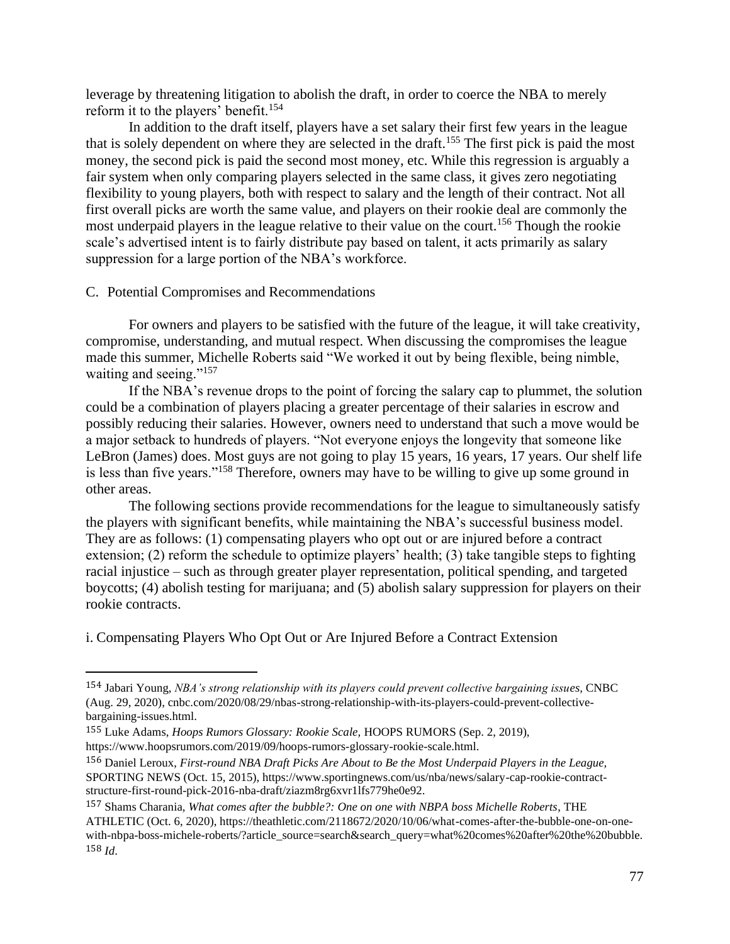leverage by threatening litigation to abolish the draft, in order to coerce the NBA to merely reform it to the players' benefit.<sup>154</sup>

In addition to the draft itself, players have a set salary their first few years in the league that is solely dependent on where they are selected in the draft.<sup>155</sup> The first pick is paid the most money, the second pick is paid the second most money, etc. While this regression is arguably a fair system when only comparing players selected in the same class, it gives zero negotiating flexibility to young players, both with respect to salary and the length of their contract. Not all first overall picks are worth the same value, and players on their rookie deal are commonly the most underpaid players in the league relative to their value on the court.<sup>156</sup> Though the rookie scale's advertised intent is to fairly distribute pay based on talent, it acts primarily as salary suppression for a large portion of the NBA's workforce.

#### C. Potential Compromises and Recommendations

For owners and players to be satisfied with the future of the league, it will take creativity, compromise, understanding, and mutual respect. When discussing the compromises the league made this summer, Michelle Roberts said "We worked it out by being flexible, being nimble, waiting and seeing."<sup>157</sup>

If the NBA's revenue drops to the point of forcing the salary cap to plummet, the solution could be a combination of players placing a greater percentage of their salaries in escrow and possibly reducing their salaries. However, owners need to understand that such a move would be a major setback to hundreds of players. "Not everyone enjoys the longevity that someone like LeBron (James) does. Most guys are not going to play 15 years, 16 years, 17 years. Our shelf life is less than five years."<sup>158</sup> Therefore, owners may have to be willing to give up some ground in other areas.

The following sections provide recommendations for the league to simultaneously satisfy the players with significant benefits, while maintaining the NBA's successful business model. They are as follows: (1) compensating players who opt out or are injured before a contract extension; (2) reform the schedule to optimize players' health; (3) take tangible steps to fighting racial injustice – such as through greater player representation, political spending, and targeted boycotts; (4) abolish testing for marijuana; and (5) abolish salary suppression for players on their rookie contracts.

i. Compensating Players Who Opt Out or Are Injured Before a Contract Extension

<sup>154</sup> Jabari Young, *NBA's strong relationship with its players could prevent collective bargaining issues,* CNBC (Aug. 29, 2020), cnbc.com/2020/08/29/nbas-strong-relationship-with-its-players-could-prevent-collectivebargaining-issues.html.

<sup>155</sup> Luke Adams, *Hoops Rumors Glossary: Rookie Scale,* HOOPS RUMORS (Sep. 2, 2019), https://www.hoopsrumors.com/2019/09/hoops-rumors-glossary-rookie-scale.html.

<sup>156</sup> Daniel Leroux, *First-round NBA Draft Picks Are About to Be the Most Underpaid Players in the League,*  SPORTING NEWS (Oct. 15, 2015), https://www.sportingnews.com/us/nba/news/salary-cap-rookie-contractstructure-first-round-pick-2016-nba-draft/ziazm8rg6xvr1lfs779he0e92.

<sup>157</sup> Shams Charania, *What comes after the bubble?: One on one with NBPA boss Michelle Roberts*, THE ATHLETIC (Oct. 6, 2020), https://theathletic.com/2118672/2020/10/06/what-comes-after-the-bubble-one-on-onewith-nbpa-boss-michele-roberts/?article\_source=search&search\_query=what%20comes%20after%20the%20bubble. 158 *Id*.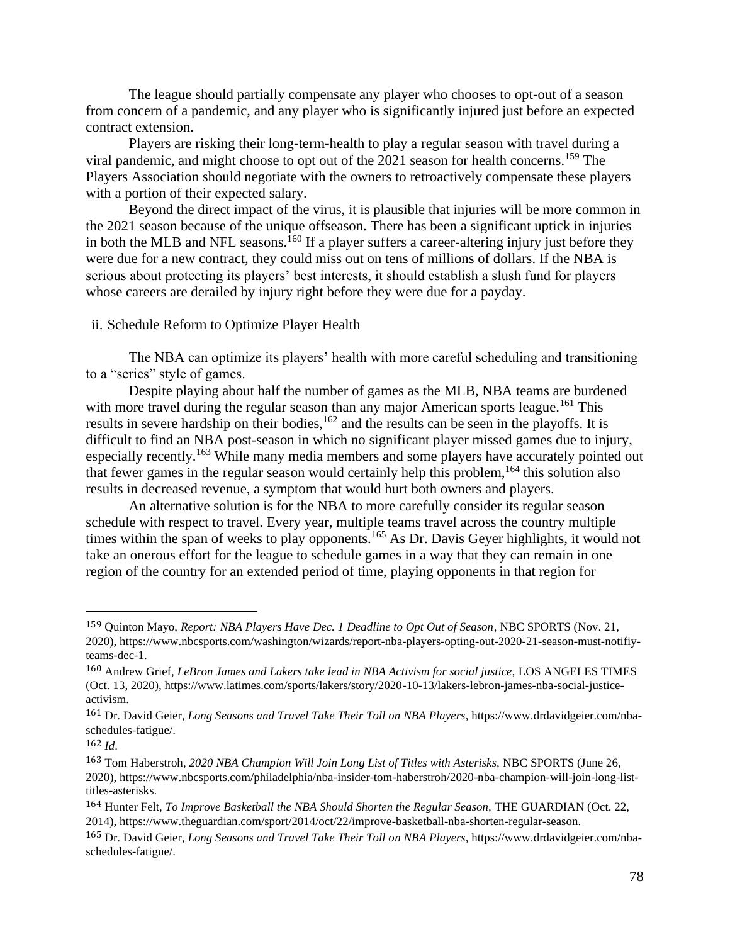The league should partially compensate any player who chooses to opt-out of a season from concern of a pandemic, and any player who is significantly injured just before an expected contract extension.

Players are risking their long-term-health to play a regular season with travel during a viral pandemic, and might choose to opt out of the 2021 season for health concerns.<sup>159</sup> The Players Association should negotiate with the owners to retroactively compensate these players with a portion of their expected salary.

Beyond the direct impact of the virus, it is plausible that injuries will be more common in the 2021 season because of the unique offseason. There has been a significant uptick in injuries in both the MLB and NFL seasons.<sup>160</sup> If a player suffers a career-altering injury just before they were due for a new contract, they could miss out on tens of millions of dollars. If the NBA is serious about protecting its players' best interests, it should establish a slush fund for players whose careers are derailed by injury right before they were due for a payday.

#### ii. Schedule Reform to Optimize Player Health

The NBA can optimize its players' health with more careful scheduling and transitioning to a "series" style of games.

Despite playing about half the number of games as the MLB, NBA teams are burdened with more travel during the regular season than any major American sports league.<sup>161</sup> This results in severe hardship on their bodies,<sup>162</sup> and the results can be seen in the playoffs. It is difficult to find an NBA post-season in which no significant player missed games due to injury, especially recently.<sup>163</sup> While many media members and some players have accurately pointed out that fewer games in the regular season would certainly help this problem,  $164$  this solution also results in decreased revenue, a symptom that would hurt both owners and players.

An alternative solution is for the NBA to more carefully consider its regular season schedule with respect to travel. Every year, multiple teams travel across the country multiple times within the span of weeks to play opponents.<sup>165</sup> As Dr. Davis Geyer highlights, it would not take an onerous effort for the league to schedule games in a way that they can remain in one region of the country for an extended period of time, playing opponents in that region for

<sup>159</sup> Quinton Mayo, *Report: NBA Players Have Dec. 1 Deadline to Opt Out of Season*, NBC SPORTS (Nov. 21, 2020), https://www.nbcsports.com/washington/wizards/report-nba-players-opting-out-2020-21-season-must-notifiyteams-dec-1.

<sup>160</sup> Andrew Grief, *LeBron James and Lakers take lead in NBA Activism for social justice,* LOS ANGELES TIMES (Oct. 13, 2020), https://www.latimes.com/sports/lakers/story/2020-10-13/lakers-lebron-james-nba-social-justiceactivism.

<sup>161</sup> Dr. David Geier, *Long Seasons and Travel Take Their Toll on NBA Players*, https://www.drdavidgeier.com/nbaschedules-fatigue/.

 $162$  *Id.* 

<sup>163</sup> Tom Haberstroh, *2020 NBA Champion Will Join Long List of Titles with Asterisks,* NBC SPORTS (June 26, 2020), https://www.nbcsports.com/philadelphia/nba-insider-tom-haberstroh/2020-nba-champion-will-join-long-listtitles-asterisks.

<sup>164</sup> Hunter Felt, *To Improve Basketball the NBA Should Shorten the Regular Season,* THE GUARDIAN (Oct. 22, 2014), https://www.theguardian.com/sport/2014/oct/22/improve-basketball-nba-shorten-regular-season.

<sup>165</sup> Dr. David Geier, *Long Seasons and Travel Take Their Toll on NBA Players*, https://www.drdavidgeier.com/nbaschedules-fatigue/.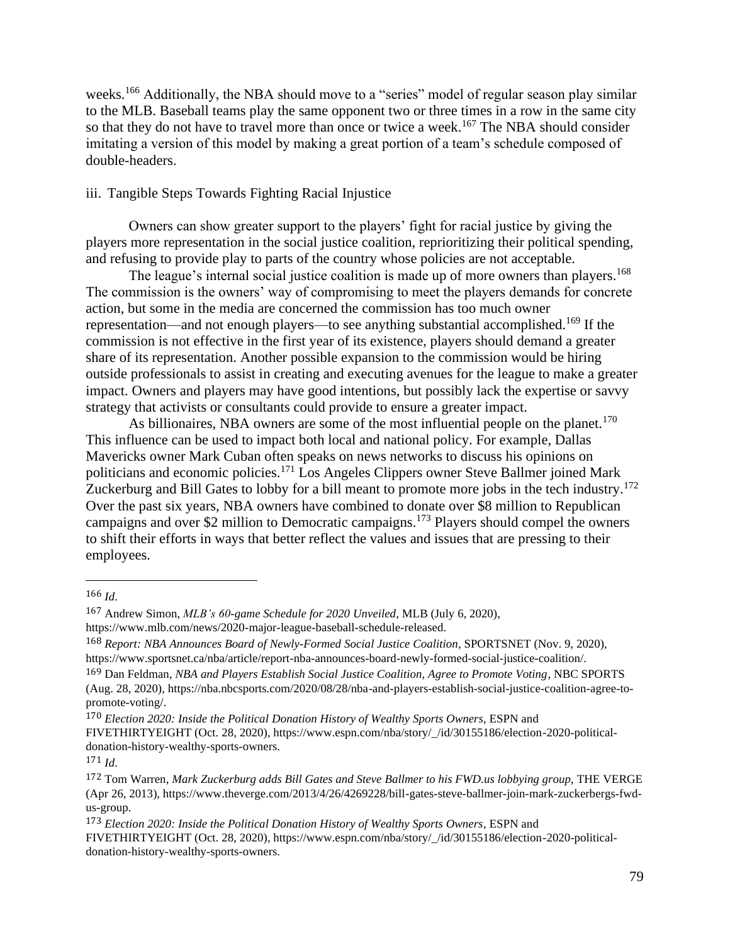weeks.<sup>166</sup> Additionally, the NBA should move to a "series" model of regular season play similar to the MLB. Baseball teams play the same opponent two or three times in a row in the same city so that they do not have to travel more than once or twice a week.<sup>167</sup> The NBA should consider imitating a version of this model by making a great portion of a team's schedule composed of double-headers.

## iii. Tangible Steps Towards Fighting Racial Injustice

Owners can show greater support to the players' fight for racial justice by giving the players more representation in the social justice coalition, reprioritizing their political spending, and refusing to provide play to parts of the country whose policies are not acceptable.

The league's internal social justice coalition is made up of more owners than players.<sup>168</sup> The commission is the owners' way of compromising to meet the players demands for concrete action, but some in the media are concerned the commission has too much owner representation—and not enough players—to see anything substantial accomplished.<sup>169</sup> If the commission is not effective in the first year of its existence, players should demand a greater share of its representation. Another possible expansion to the commission would be hiring outside professionals to assist in creating and executing avenues for the league to make a greater impact. Owners and players may have good intentions, but possibly lack the expertise or savvy strategy that activists or consultants could provide to ensure a greater impact.

As billionaires, NBA owners are some of the most influential people on the planet.<sup>170</sup> This influence can be used to impact both local and national policy. For example, Dallas Mavericks owner Mark Cuban often speaks on news networks to discuss his opinions on politicians and economic policies.<sup>171</sup> Los Angeles Clippers owner Steve Ballmer joined Mark Zuckerburg and Bill Gates to lobby for a bill meant to promote more jobs in the tech industry.<sup>172</sup> Over the past six years, NBA owners have combined to donate over \$8 million to Republican campaigns and over \$2 million to Democratic campaigns.<sup>173</sup> Players should compel the owners to shift their efforts in ways that better reflect the values and issues that are pressing to their employees.

<sup>166</sup> *Id*.

<sup>167</sup> Andrew Simon, *MLB's 60-game Schedule for 2020 Unveiled*, MLB (July 6, 2020), https://www.mlb.com/news/2020-major-league-baseball-schedule-released.

<sup>168</sup> *Report: NBA Announces Board of Newly-Formed Social Justice Coalition*, SPORTSNET (Nov. 9, 2020), https://www.sportsnet.ca/nba/article/report-nba-announces-board-newly-formed-social-justice-coalition/.

<sup>169</sup> Dan Feldman, *NBA and Players Establish Social Justice Coalition, Agree to Promote Voting*, NBC SPORTS (Aug. 28, 2020), https://nba.nbcsports.com/2020/08/28/nba-and-players-establish-social-justice-coalition-agree-topromote-voting/.

<sup>170</sup> *Election 2020: Inside the Political Donation History of Wealthy Sports Owners*, ESPN and FIVETHIRTYEIGHT (Oct. 28, 2020), https://www.espn.com/nba/story/\_/id/30155186/election-2020-politicaldonation-history-wealthy-sports-owners. 171 *Id*.

<sup>172</sup> Tom Warren, *Mark Zuckerburg adds Bill Gates and Steve Ballmer to his FWD.us lobbying group,* THE VERGE (Apr 26, 2013), https://www.theverge.com/2013/4/26/4269228/bill-gates-steve-ballmer-join-mark-zuckerbergs-fwdus-group.

<sup>173</sup> *Election 2020: Inside the Political Donation History of Wealthy Sports Owners*, ESPN and FIVETHIRTYEIGHT (Oct. 28, 2020), https://www.espn.com/nba/story/\_/id/30155186/election-2020-politicaldonation-history-wealthy-sports-owners.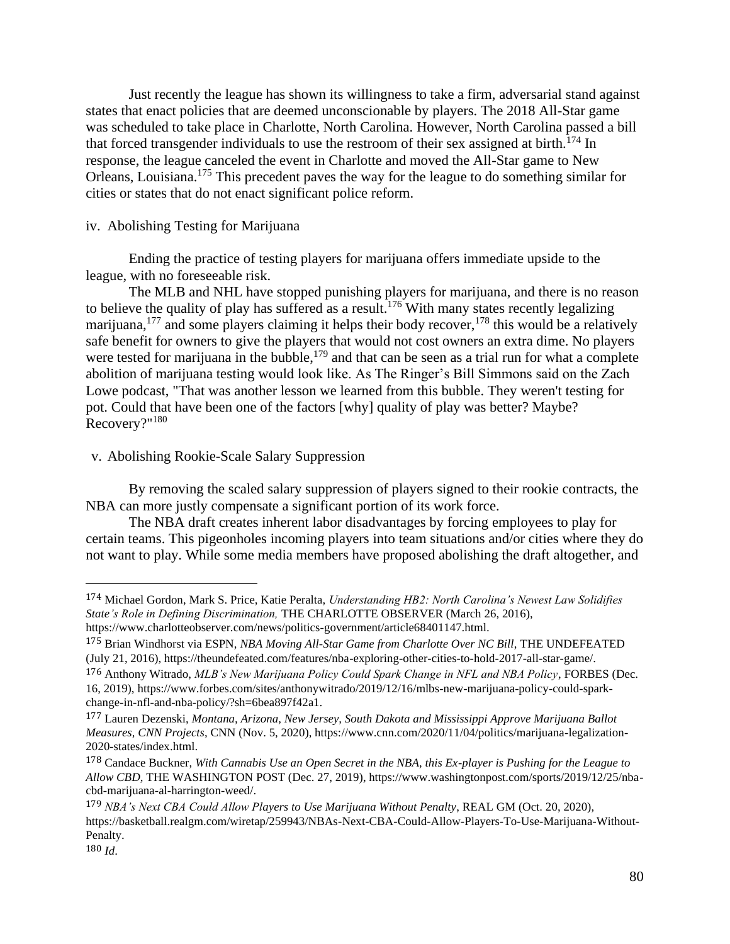Just recently the league has shown its willingness to take a firm, adversarial stand against states that enact policies that are deemed unconscionable by players. The 2018 All-Star game was scheduled to take place in Charlotte, North Carolina. However, North Carolina passed a bill that forced transgender individuals to use the restroom of their sex assigned at birth.<sup>174</sup> In response, the league canceled the event in Charlotte and moved the All-Star game to New Orleans, Louisiana.<sup>175</sup> This precedent paves the way for the league to do something similar for cities or states that do not enact significant police reform.

## iv. Abolishing Testing for Marijuana

Ending the practice of testing players for marijuana offers immediate upside to the league, with no foreseeable risk.

The MLB and NHL have stopped punishing players for marijuana, and there is no reason to believe the quality of play has suffered as a result.<sup>176</sup> With many states recently legalizing marijuana,<sup>177</sup> and some players claiming it helps their body recover,<sup>178</sup> this would be a relatively safe benefit for owners to give the players that would not cost owners an extra dime. No players were tested for marijuana in the bubble, $179$  and that can be seen as a trial run for what a complete abolition of marijuana testing would look like. As The Ringer's Bill Simmons said on the Zach Lowe podcast, "That was another lesson we learned from this bubble. They weren't testing for pot. Could that have been one of the factors [why] quality of play was better? Maybe? Recovery?"<sup>180</sup>

## v. Abolishing Rookie-Scale Salary Suppression

By removing the scaled salary suppression of players signed to their rookie contracts, the NBA can more justly compensate a significant portion of its work force.

The NBA draft creates inherent labor disadvantages by forcing employees to play for certain teams. This pigeonholes incoming players into team situations and/or cities where they do not want to play. While some media members have proposed abolishing the draft altogether, and

<sup>174</sup> Michael Gordon, Mark S. Price, Katie Peralta, *Understanding HB2: North Carolina's Newest Law Solidifies State's Role in Defining Discrimination,* THE CHARLOTTE OBSERVER (March 26, 2016), https://www.charlotteobserver.com/news/politics-government/article68401147.html.

<sup>175</sup> Brian Windhorst via ESPN, *NBA Moving All-Star Game from Charlotte Over NC Bill*, THE UNDEFEATED (July 21, 2016), https://theundefeated.com/features/nba-exploring-other-cities-to-hold-2017-all-star-game/.

<sup>176</sup> Anthony Witrado, *MLB's New Marijuana Policy Could Spark Change in NFL and NBA Policy*, FORBES (Dec. 16, 2019), https://www.forbes.com/sites/anthonywitrado/2019/12/16/mlbs-new-marijuana-policy-could-sparkchange-in-nfl-and-nba-policy/?sh=6bea897f42a1.

<sup>177</sup> Lauren Dezenski, *Montana, Arizona, New Jersey, South Dakota and Mississippi Approve Marijuana Ballot Measures, CNN Projects*, CNN (Nov. 5, 2020), https://www.cnn.com/2020/11/04/politics/marijuana-legalization-2020-states/index.html.

<sup>178</sup> Candace Buckner, *With Cannabis Use an Open Secret in the NBA, this Ex-player is Pushing for the League to Allow CBD*, THE WASHINGTON POST (Dec. 27, 2019), https://www.washingtonpost.com/sports/2019/12/25/nbacbd-marijuana-al-harrington-weed/.

<sup>179</sup> *NBA's Next CBA Could Allow Players to Use Marijuana Without Penalty*, REAL GM (Oct. 20, 2020), https://basketball.realgm.com/wiretap/259943/NBAs-Next-CBA-Could-Allow-Players-To-Use-Marijuana-Without-Penalty.

<sup>180</sup> *Id*.